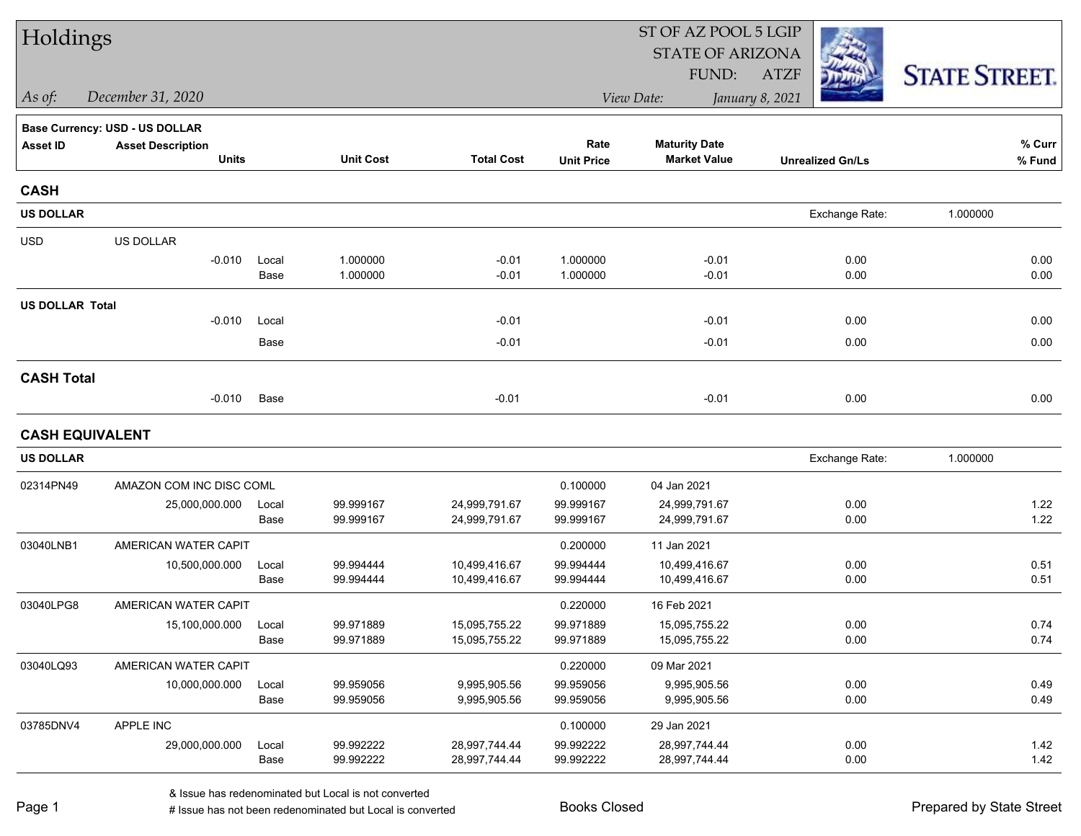| Holdings               |                                          |               |                        |                                |                           | ST OF AZ POOL 5 LGIP                        |                         |                      |  |  |
|------------------------|------------------------------------------|---------------|------------------------|--------------------------------|---------------------------|---------------------------------------------|-------------------------|----------------------|--|--|
|                        |                                          |               |                        |                                |                           | <b>STATE OF ARIZONA</b>                     |                         |                      |  |  |
|                        |                                          |               |                        |                                |                           | FUND:                                       | <b>ATZF</b>             | <b>STATE STREET.</b> |  |  |
| As of:                 | December 31, 2020                        |               |                        |                                |                           | View Date:                                  | January 8, 2021         |                      |  |  |
|                        | <b>Base Currency: USD - US DOLLAR</b>    |               |                        |                                |                           |                                             |                         |                      |  |  |
| <b>Asset ID</b>        | <b>Asset Description</b><br><b>Units</b> |               | <b>Unit Cost</b>       | <b>Total Cost</b>              | Rate<br><b>Unit Price</b> | <b>Maturity Date</b><br><b>Market Value</b> | <b>Unrealized Gn/Ls</b> | % Curr<br>% Fund     |  |  |
| <b>CASH</b>            |                                          |               |                        |                                |                           |                                             |                         |                      |  |  |
| <b>US DOLLAR</b>       |                                          |               |                        |                                |                           |                                             | Exchange Rate:          | 1.000000             |  |  |
| <b>USD</b>             | US DOLLAR                                |               |                        |                                |                           |                                             |                         |                      |  |  |
|                        | $-0.010$                                 | Local<br>Base | 1.000000<br>1.000000   | $-0.01$<br>$-0.01$             | 1.000000<br>1.000000      | $-0.01$<br>$-0.01$                          | 0.00<br>0.00            | 0.00<br>0.00         |  |  |
| <b>US DOLLAR Total</b> |                                          |               |                        |                                |                           |                                             |                         |                      |  |  |
|                        | $-0.010$                                 | Local         |                        | $-0.01$                        |                           | $-0.01$                                     | 0.00                    | 0.00                 |  |  |
|                        |                                          | Base          |                        | $-0.01$                        |                           | $-0.01$                                     | 0.00                    | 0.00                 |  |  |
| <b>CASH Total</b>      |                                          |               |                        |                                |                           |                                             |                         |                      |  |  |
|                        | $-0.010$                                 | Base          |                        | $-0.01$                        |                           | $-0.01$                                     | 0.00                    | 0.00                 |  |  |
|                        | <b>CASH EQUIVALENT</b>                   |               |                        |                                |                           |                                             |                         |                      |  |  |
| <b>US DOLLAR</b>       |                                          |               |                        |                                |                           |                                             | Exchange Rate:          | 1.000000             |  |  |
| 02314PN49              | AMAZON COM INC DISC COML                 |               |                        |                                | 0.100000                  | 04 Jan 2021                                 |                         |                      |  |  |
|                        | 25,000,000.000                           | Local<br>Base | 99.999167<br>99.999167 | 24,999,791.67<br>24,999,791.67 | 99.999167<br>99.999167    | 24,999,791.67<br>24,999,791.67              | 0.00<br>0.00            | 1.22<br>1.22         |  |  |
| 03040LNB1              | AMERICAN WATER CAPIT                     |               |                        |                                | 0.200000                  | 11 Jan 2021                                 |                         |                      |  |  |
|                        | 10,500,000.000                           | Local<br>Base | 99.994444<br>99.994444 | 10,499,416.67<br>10,499,416.67 | 99.994444<br>99.994444    | 10,499,416.67<br>10,499,416.67              | 0.00<br>0.00            | 0.51<br>0.51         |  |  |
| 03040LPG8              | AMERICAN WATER CAPIT                     |               |                        |                                | 0.220000                  | 16 Feb 2021                                 |                         |                      |  |  |
|                        | 15,100,000.000                           | Local<br>Base | 99.971889<br>99.971889 | 15,095,755.22<br>15,095,755.22 | 99.971889<br>99.971889    | 15,095,755.22<br>15,095,755.22              | 0.00<br>0.00            | 0.74<br>0.74         |  |  |
| 03040LQ93              | AMERICAN WATER CAPIT                     |               |                        |                                | 0.220000                  | 09 Mar 2021                                 |                         |                      |  |  |
|                        | 10,000,000.000                           | Local<br>Base | 99.959056<br>99.959056 | 9,995,905.56<br>9,995,905.56   | 99.959056<br>99.959056    | 9,995,905.56<br>9,995,905.56                | 0.00<br>0.00            | 0.49<br>0.49         |  |  |
| 03785DNV4              | APPLE INC                                |               |                        |                                | 0.100000                  | 29 Jan 2021                                 |                         |                      |  |  |
|                        | 29,000,000.000                           | Local<br>Base | 99.992222<br>99.992222 | 28,997,744.44<br>28,997,744.44 | 99.992222<br>99.992222    | 28,997,744.44<br>28,997,744.44              | 0.00<br>0.00            | 1.42<br>1.42         |  |  |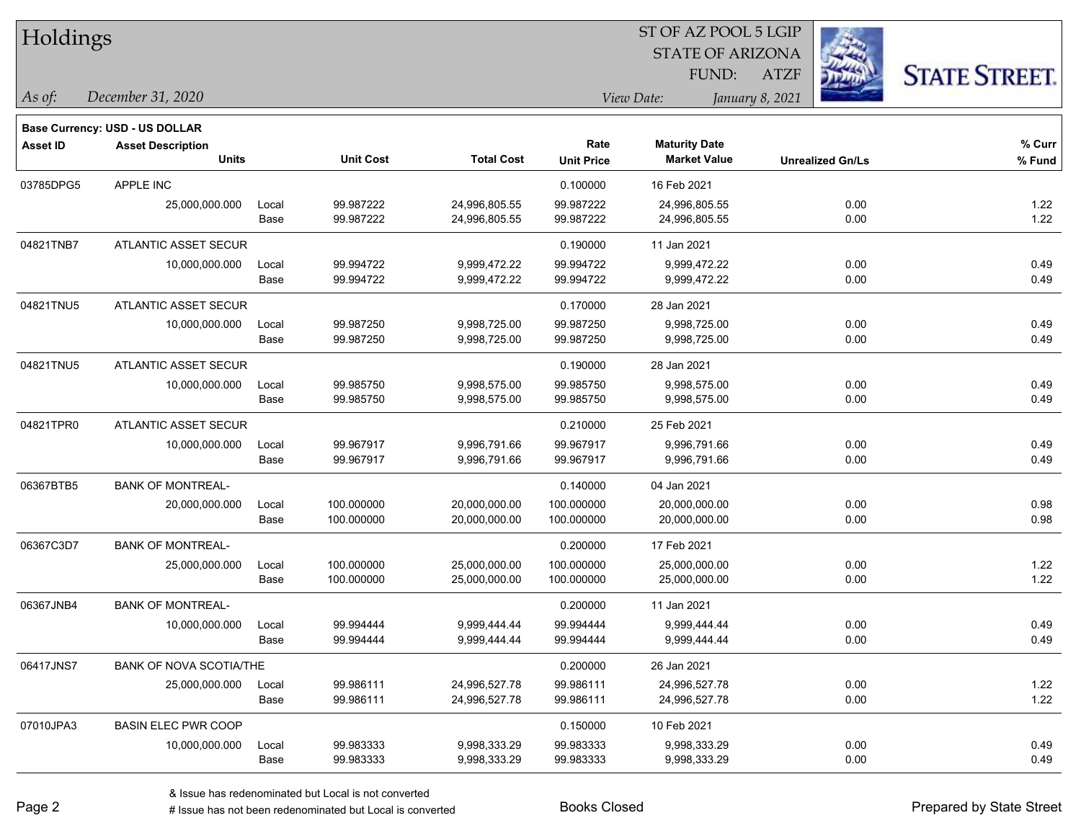| Holdings        |                                          |       |                  |                   |                           | SI OF AZ POOL 5 LGIP<br><b>STATE OF ARIZONA</b><br>FUND: | <b>ATZF</b>             | <b>STATE STREET.</b> |  |  |
|-----------------|------------------------------------------|-------|------------------|-------------------|---------------------------|----------------------------------------------------------|-------------------------|----------------------|--|--|
| As of:          | December 31, 2020                        |       |                  |                   |                           | View Date:                                               | January 8, 2021         |                      |  |  |
|                 | <b>Base Currency: USD - US DOLLAR</b>    |       |                  |                   |                           |                                                          |                         |                      |  |  |
| <b>Asset ID</b> | <b>Asset Description</b><br><b>Units</b> |       | <b>Unit Cost</b> | <b>Total Cost</b> | Rate<br><b>Unit Price</b> | <b>Maturity Date</b><br><b>Market Value</b>              | <b>Unrealized Gn/Ls</b> | % Curr<br>% Fund     |  |  |
| 03785DPG5       | <b>APPLE INC</b>                         |       |                  |                   | 0.100000                  | 16 Feb 2021                                              |                         |                      |  |  |
|                 | 25,000,000.000                           | Local | 99.987222        | 24,996,805.55     | 99.987222                 | 24,996,805.55                                            | 0.00                    | 1.22                 |  |  |
|                 |                                          | Base  | 99.987222        | 24,996,805.55     | 99.987222                 | 24,996,805.55                                            | 0.00                    | 1.22                 |  |  |
| 04821TNB7       | <b>ATLANTIC ASSET SECUR</b>              |       |                  |                   | 0.190000                  | 11 Jan 2021                                              |                         |                      |  |  |
|                 | 10,000,000.000                           | Local | 99.994722        | 9,999,472.22      | 99.994722                 | 9,999,472.22                                             | 0.00                    | 0.49                 |  |  |
|                 |                                          | Base  | 99.994722        | 9,999,472.22      | 99.994722                 | 9,999,472.22                                             | 0.00                    | 0.49                 |  |  |
| 04821TNU5       | <b>ATLANTIC ASSET SECUR</b>              |       |                  |                   | 0.170000                  | 28 Jan 2021                                              |                         |                      |  |  |
|                 | 10,000,000.000                           | Local | 99.987250        | 9,998,725.00      | 99.987250                 | 9,998,725.00                                             | 0.00                    | 0.49                 |  |  |
|                 |                                          | Base  | 99.987250        | 9,998,725.00      | 99.987250                 | 9,998,725.00                                             | 0.00                    | 0.49                 |  |  |
| 04821TNU5       | <b>ATLANTIC ASSET SECUR</b>              |       |                  |                   | 0.190000                  | 28 Jan 2021                                              |                         |                      |  |  |
|                 | 10,000,000.000                           | Local | 99.985750        | 9,998,575.00      | 99.985750                 | 9,998,575.00                                             | 0.00                    | 0.49                 |  |  |
|                 |                                          | Base  | 99.985750        | 9,998,575.00      | 99.985750                 | 9,998,575.00                                             | 0.00                    | 0.49                 |  |  |
| 04821TPR0       | ATLANTIC ASSET SECUR                     |       |                  |                   | 0.210000                  | 25 Feb 2021                                              |                         |                      |  |  |
|                 | 10,000,000.000                           | Local | 99.967917        | 9,996,791.66      | 99.967917                 | 9,996,791.66                                             | 0.00                    | 0.49                 |  |  |
|                 |                                          | Base  | 99.967917        | 9,996,791.66      | 99.967917                 | 9,996,791.66                                             | 0.00                    | 0.49                 |  |  |
| 06367BTB5       | <b>BANK OF MONTREAL-</b>                 |       |                  |                   | 0.140000                  | 04 Jan 2021                                              |                         |                      |  |  |
|                 | 20,000,000.000                           | Local | 100.000000       | 20,000,000.00     | 100.000000                | 20,000,000.00                                            | 0.00                    | 0.98                 |  |  |
|                 |                                          | Base  | 100.000000       | 20,000,000.00     | 100.000000                | 20,000,000.00                                            | 0.00                    | 0.98                 |  |  |
| 06367C3D7       | <b>BANK OF MONTREAL-</b>                 |       |                  |                   | 0.200000                  | 17 Feb 2021                                              |                         |                      |  |  |
|                 | 25,000,000.000                           | Local | 100.000000       | 25,000,000.00     | 100.000000                | 25,000,000.00                                            | 0.00                    | 1.22                 |  |  |
|                 |                                          | Base  | 100.000000       | 25,000,000.00     | 100.000000                | 25,000,000.00                                            | 0.00                    | 1.22                 |  |  |
| 06367JNB4       | <b>BANK OF MONTREAL-</b>                 |       |                  |                   | 0.200000                  | 11 Jan 2021                                              |                         |                      |  |  |
|                 | 10,000,000.000                           | Local | 99.994444        | 9,999,444.44      | 99.994444                 | 9,999,444.44                                             | 0.00                    | 0.49                 |  |  |
|                 |                                          | Base  | 99.994444        | 9,999,444.44      | 99.994444                 | 9,999,444.44                                             | 0.00                    | 0.49                 |  |  |
| 06417JNS7       | <b>BANK OF NOVA SCOTIA/THE</b>           |       |                  |                   | 0.200000                  | 26 Jan 2021                                              |                         |                      |  |  |
|                 | 25,000,000.000                           | Local | 99.986111        | 24,996,527.78     | 99.986111                 | 24,996,527.78                                            | 0.00                    | 1.22                 |  |  |
|                 |                                          | Base  | 99.986111        | 24,996,527.78     | 99.986111                 | 24,996,527.78                                            | 0.00                    | 1.22                 |  |  |
| 07010JPA3       | <b>BASIN ELEC PWR COOP</b>               |       |                  |                   | 0.150000                  | 10 Feb 2021                                              |                         |                      |  |  |
|                 | 10,000,000.000                           | Local | 99.983333        | 9,998,333.29      | 99.983333                 | 9,998,333.29                                             | 0.00                    | 0.49                 |  |  |
|                 |                                          | Base  | 99.983333        | 9,998,333.29      | 99.983333                 | 9,998,333.29                                             | 0.00                    | 0.49                 |  |  |

 $\overline{\text{S}}$  of  $\overline{\text{S}}$   $\overline{\text{S}}$   $\overline{\text{S}}$   $\overline{\text{S}}$   $\overline{\text{S}}$   $\overline{\text{S}}$   $\overline{\text{S}}$   $\overline{\text{S}}$   $\overline{\text{S}}$   $\overline{\text{S}}$   $\overline{\text{S}}$   $\overline{\text{S}}$   $\overline{\text{S}}$   $\overline{\text{S}}$   $\overline{\text{S}}$   $\overline{\text{S}}$   $\overline{\text{S}}$   $\overline{\text{S}}$   $\overline{\text{S}}$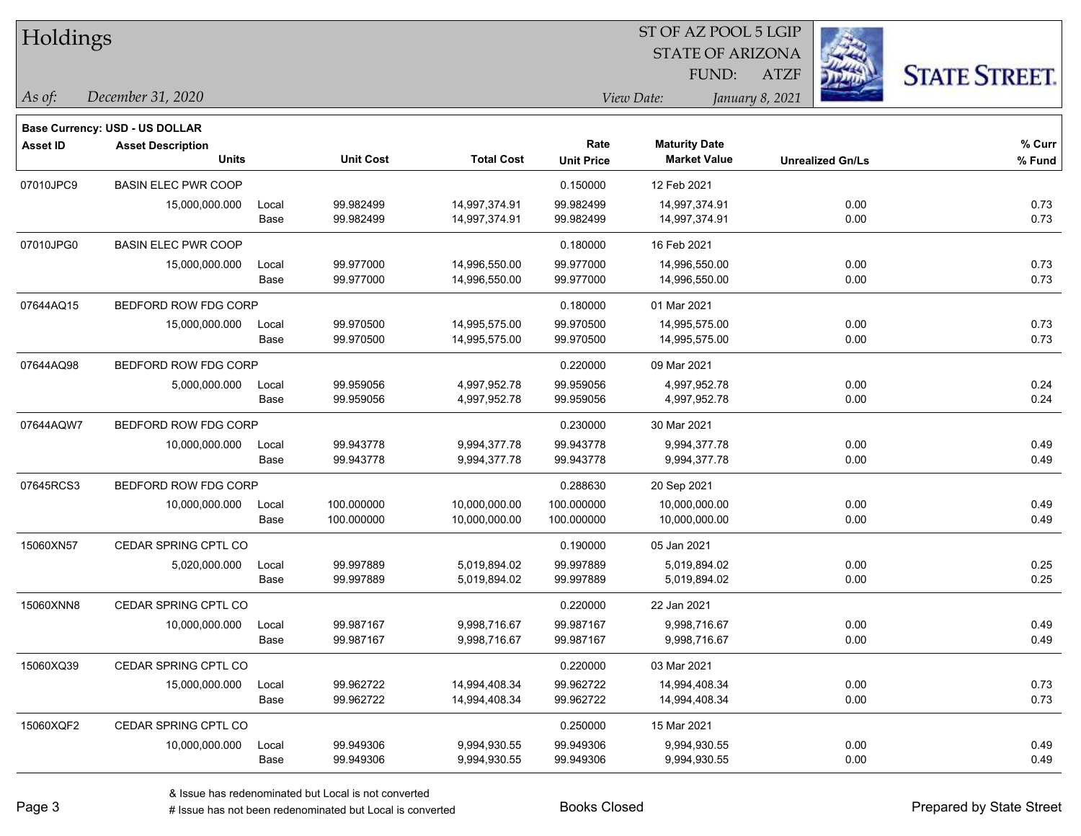| Holdings        |                                          |               |                        |                                |                           |                                             |                         |              |                      |
|-----------------|------------------------------------------|---------------|------------------------|--------------------------------|---------------------------|---------------------------------------------|-------------------------|--------------|----------------------|
|                 |                                          |               |                        |                                |                           | <b>STATE OF ARIZONA</b>                     |                         |              |                      |
|                 |                                          |               |                        |                                |                           | FUND:                                       | <b>ATZF</b>             |              | <b>STATE STREET.</b> |
| As of:          | December 31, 2020                        |               |                        |                                |                           | View Date:                                  | January 8, 2021         |              |                      |
|                 |                                          |               |                        |                                |                           |                                             |                         |              |                      |
|                 | <b>Base Currency: USD - US DOLLAR</b>    |               |                        |                                |                           |                                             |                         |              |                      |
| <b>Asset ID</b> | <b>Asset Description</b><br><b>Units</b> |               | <b>Unit Cost</b>       | <b>Total Cost</b>              | Rate<br><b>Unit Price</b> | <b>Maturity Date</b><br><b>Market Value</b> | <b>Unrealized Gn/Ls</b> |              | % Curr<br>% Fund     |
|                 |                                          |               |                        |                                |                           |                                             |                         |              |                      |
| 07010JPC9       | <b>BASIN ELEC PWR COOP</b>               |               |                        |                                | 0.150000                  | 12 Feb 2021                                 |                         |              |                      |
|                 | 15,000,000.000                           | Local<br>Base | 99.982499<br>99.982499 | 14,997,374.91<br>14,997,374.91 | 99.982499<br>99.982499    | 14,997,374.91<br>14,997,374.91              |                         | 0.00<br>0.00 | 0.73<br>0.73         |
|                 |                                          |               |                        |                                |                           |                                             |                         |              |                      |
| 07010JPG0       | <b>BASIN ELEC PWR COOP</b>               |               |                        |                                | 0.180000                  | 16 Feb 2021                                 |                         |              |                      |
|                 | 15,000,000.000                           | Local<br>Base | 99.977000<br>99.977000 | 14,996,550.00<br>14,996,550.00 | 99.977000<br>99.977000    | 14,996,550.00<br>14,996,550.00              |                         | 0.00<br>0.00 | 0.73<br>0.73         |
|                 |                                          |               |                        |                                |                           |                                             |                         |              |                      |
| 07644AQ15       | BEDFORD ROW FDG CORP                     |               |                        |                                | 0.180000                  | 01 Mar 2021                                 |                         |              |                      |
|                 | 15,000,000.000                           | Local         | 99.970500              | 14,995,575.00                  | 99.970500                 | 14,995,575.00                               |                         | 0.00         | 0.73                 |
|                 |                                          | Base          | 99.970500              | 14,995,575.00                  | 99.970500                 | 14,995,575.00                               |                         | 0.00         | 0.73                 |
| 07644AQ98       | BEDFORD ROW FDG CORP                     |               |                        |                                | 0.220000                  | 09 Mar 2021                                 |                         |              |                      |
|                 | 5,000,000.000                            | Local         | 99.959056              | 4,997,952.78                   | 99.959056                 | 4,997,952.78                                |                         | 0.00         | 0.24                 |
|                 |                                          | Base          | 99.959056              | 4,997,952.78                   | 99.959056                 | 4,997,952.78                                |                         | 0.00         | 0.24                 |
| 07644AQW7       | BEDFORD ROW FDG CORP                     |               |                        |                                | 0.230000                  | 30 Mar 2021                                 |                         |              |                      |
|                 | 10,000,000.000                           | Local         | 99.943778              | 9,994,377.78                   | 99.943778                 | 9,994,377.78                                |                         | 0.00         | 0.49                 |
|                 |                                          | Base          | 99.943778              | 9,994,377.78                   | 99.943778                 | 9,994,377.78                                |                         | 0.00         | 0.49                 |
| 07645RCS3       | BEDFORD ROW FDG CORP                     |               |                        |                                | 0.288630                  | 20 Sep 2021                                 |                         |              |                      |
|                 | 10,000,000.000                           | Local         | 100.000000             | 10,000,000.00                  | 100.000000                | 10,000,000.00                               |                         | 0.00         | 0.49                 |
|                 |                                          | Base          | 100.000000             | 10,000,000.00                  | 100.000000                | 10,000,000.00                               |                         | 0.00         | 0.49                 |
| 15060XN57       | CEDAR SPRING CPTL CO                     |               |                        |                                | 0.190000                  | 05 Jan 2021                                 |                         |              |                      |
|                 | 5,020,000.000                            | Local         | 99.997889              | 5,019,894.02                   | 99.997889                 | 5,019,894.02                                |                         | 0.00         | 0.25                 |
|                 |                                          | Base          | 99.997889              | 5,019,894.02                   | 99.997889                 | 5,019,894.02                                |                         | 0.00         | 0.25                 |
| 15060XNN8       | CEDAR SPRING CPTL CO                     |               |                        |                                | 0.220000                  | 22 Jan 2021                                 |                         |              |                      |
|                 | 10,000,000.000                           | Local         | 99.987167              | 9,998,716.67                   | 99.987167                 | 9,998,716.67                                |                         | 0.00         | 0.49                 |
|                 |                                          | Base          | 99.987167              | 9,998,716.67                   | 99.987167                 | 9,998,716.67                                |                         | 0.00         | 0.49                 |
| 15060XQ39       | CEDAR SPRING CPTL CO                     |               |                        |                                | 0.220000                  | 03 Mar 2021                                 |                         |              |                      |
|                 | 15,000,000.000                           | Local         | 99.962722              | 14,994,408.34                  | 99.962722                 | 14,994,408.34                               |                         | 0.00         | 0.73                 |
|                 |                                          | Base          | 99.962722              | 14,994,408.34                  | 99.962722                 | 14,994,408.34                               |                         | 0.00         | 0.73                 |
| 15060XQF2       | CEDAR SPRING CPTL CO                     |               |                        |                                | 0.250000                  | 15 Mar 2021                                 |                         |              |                      |
|                 | 10,000,000.000                           | Local         | 99.949306              | 9,994,930.55                   | 99.949306                 | 9,994,930.55                                |                         | 0.00         | 0.49                 |
|                 |                                          | Base          | 99.949306              | 9,994,930.55                   | 99.949306                 | 9,994,930.55                                |                         | 0.00         | 0.49                 |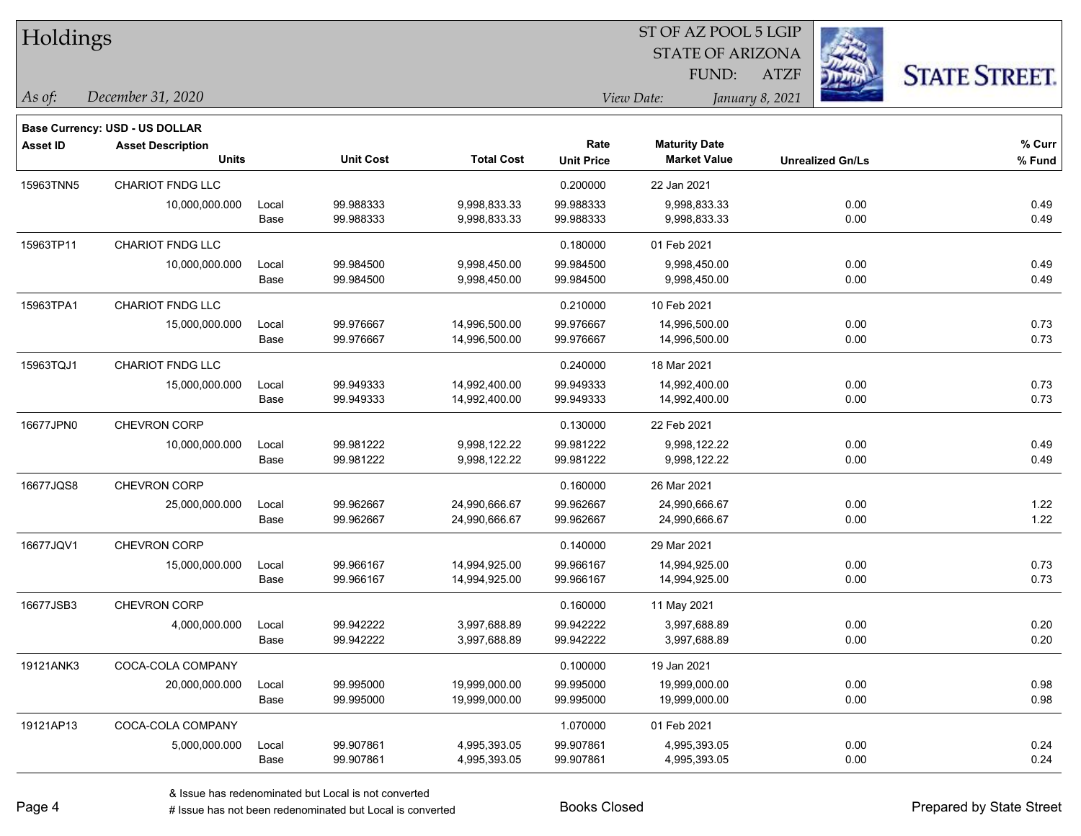| Holdings        |                                          |               |                        |                              |                           | ST OF AZ POOL 5 LGIP                        |                 |                         |                      |  |
|-----------------|------------------------------------------|---------------|------------------------|------------------------------|---------------------------|---------------------------------------------|-----------------|-------------------------|----------------------|--|
|                 |                                          |               |                        |                              |                           | <b>STATE OF ARIZONA</b>                     |                 |                         |                      |  |
|                 |                                          |               |                        |                              |                           | FUND:                                       | <b>ATZF</b>     |                         | <b>STATE STREET.</b> |  |
| As of:          | December 31, 2020                        |               |                        |                              |                           | View Date:                                  | January 8, 2021 |                         |                      |  |
|                 |                                          |               |                        |                              |                           |                                             |                 |                         |                      |  |
|                 | <b>Base Currency: USD - US DOLLAR</b>    |               |                        |                              |                           |                                             |                 |                         |                      |  |
| <b>Asset ID</b> | <b>Asset Description</b><br><b>Units</b> |               | <b>Unit Cost</b>       | <b>Total Cost</b>            | Rate<br><b>Unit Price</b> | <b>Maturity Date</b><br><b>Market Value</b> |                 | <b>Unrealized Gn/Ls</b> | % Curr<br>% Fund     |  |
|                 |                                          |               |                        |                              |                           |                                             |                 |                         |                      |  |
| 15963TNN5       | <b>CHARIOT FNDG LLC</b>                  |               |                        |                              | 0.200000                  | 22 Jan 2021                                 |                 |                         |                      |  |
|                 | 10,000,000.000                           | Local<br>Base | 99.988333<br>99.988333 | 9,998,833.33<br>9,998,833.33 | 99.988333<br>99.988333    | 9,998,833.33<br>9,998,833.33                |                 | 0.00<br>0.00            | 0.49<br>0.49         |  |
|                 |                                          |               |                        |                              |                           |                                             |                 |                         |                      |  |
| 15963TP11       | CHARIOT FNDG LLC                         |               |                        |                              | 0.180000                  | 01 Feb 2021                                 |                 |                         |                      |  |
|                 | 10,000,000.000                           | Local         | 99.984500<br>99.984500 | 9,998,450.00                 | 99.984500<br>99.984500    | 9,998,450.00<br>9,998,450.00                |                 | 0.00<br>0.00            | 0.49<br>0.49         |  |
|                 |                                          | Base          |                        | 9,998,450.00                 |                           |                                             |                 |                         |                      |  |
| 15963TPA1       | <b>CHARIOT FNDG LLC</b>                  |               |                        |                              | 0.210000                  | 10 Feb 2021                                 |                 |                         |                      |  |
|                 | 15,000,000.000                           | Local         | 99.976667              | 14,996,500.00                | 99.976667                 | 14,996,500.00                               |                 | 0.00                    | 0.73                 |  |
|                 |                                          | Base          | 99.976667              | 14,996,500.00                | 99.976667                 | 14,996,500.00                               |                 | 0.00                    | 0.73                 |  |
| 15963TQJ1       | <b>CHARIOT FNDG LLC</b>                  |               |                        |                              | 0.240000                  | 18 Mar 2021                                 |                 |                         |                      |  |
|                 | 15,000,000.000                           | Local         | 99.949333              | 14,992,400.00                | 99.949333                 | 14,992,400.00                               |                 | 0.00                    | 0.73                 |  |
|                 |                                          | Base          | 99.949333              | 14,992,400.00                | 99.949333                 | 14,992,400.00                               |                 | 0.00                    | 0.73                 |  |
| 16677JPN0       | CHEVRON CORP                             |               |                        |                              | 0.130000                  | 22 Feb 2021                                 |                 |                         |                      |  |
|                 | 10,000,000.000                           | Local         | 99.981222              | 9,998,122.22                 | 99.981222                 | 9,998,122.22                                |                 | 0.00                    | 0.49                 |  |
|                 |                                          | Base          | 99.981222              | 9,998,122.22                 | 99.981222                 | 9,998,122.22                                |                 | 0.00                    | 0.49                 |  |
| 16677JQS8       | <b>CHEVRON CORP</b>                      |               |                        |                              | 0.160000                  | 26 Mar 2021                                 |                 |                         |                      |  |
|                 | 25,000,000.000                           | Local         | 99.962667              | 24,990,666.67                | 99.962667                 | 24,990,666.67                               |                 | 0.00                    | 1.22                 |  |
|                 |                                          | Base          | 99.962667              | 24,990,666.67                | 99.962667                 | 24,990,666.67                               |                 | 0.00                    | 1.22                 |  |
| 16677JQV1       | CHEVRON CORP                             |               |                        |                              | 0.140000                  | 29 Mar 2021                                 |                 |                         |                      |  |
|                 | 15,000,000.000                           | Local         | 99.966167              | 14,994,925.00                | 99.966167                 | 14,994,925.00                               |                 | 0.00                    | 0.73                 |  |
|                 |                                          | Base          | 99.966167              | 14,994,925.00                | 99.966167                 | 14,994,925.00                               |                 | 0.00                    | 0.73                 |  |
| 16677JSB3       | CHEVRON CORP                             |               |                        |                              | 0.160000                  | 11 May 2021                                 |                 |                         |                      |  |
|                 | 4,000,000.000                            | Local         | 99.942222              | 3,997,688.89                 | 99.942222                 | 3,997,688.89                                |                 | 0.00                    | 0.20                 |  |
|                 |                                          | Base          | 99.942222              | 3,997,688.89                 | 99.942222                 | 3,997,688.89                                |                 | 0.00                    | 0.20                 |  |
| 19121ANK3       | COCA-COLA COMPANY                        |               |                        |                              | 0.100000                  | 19 Jan 2021                                 |                 |                         |                      |  |
|                 | 20,000,000.000                           | Local         | 99.995000              | 19,999,000.00                | 99.995000                 | 19,999,000.00                               |                 | 0.00                    | 0.98                 |  |
|                 |                                          | Base          | 99.995000              | 19,999,000.00                | 99.995000                 | 19,999,000.00                               |                 | 0.00                    | 0.98                 |  |
| 19121AP13       | COCA-COLA COMPANY                        |               |                        |                              | 1.070000                  | 01 Feb 2021                                 |                 |                         |                      |  |
|                 | 5,000,000.000                            | Local         | 99.907861              | 4,995,393.05                 | 99.907861                 | 4,995,393.05                                |                 | 0.00                    | 0.24                 |  |
|                 |                                          | Base          | 99.907861              | 4,995,393.05                 | 99.907861                 | 4,995,393.05                                |                 | 0.00                    | 0.24                 |  |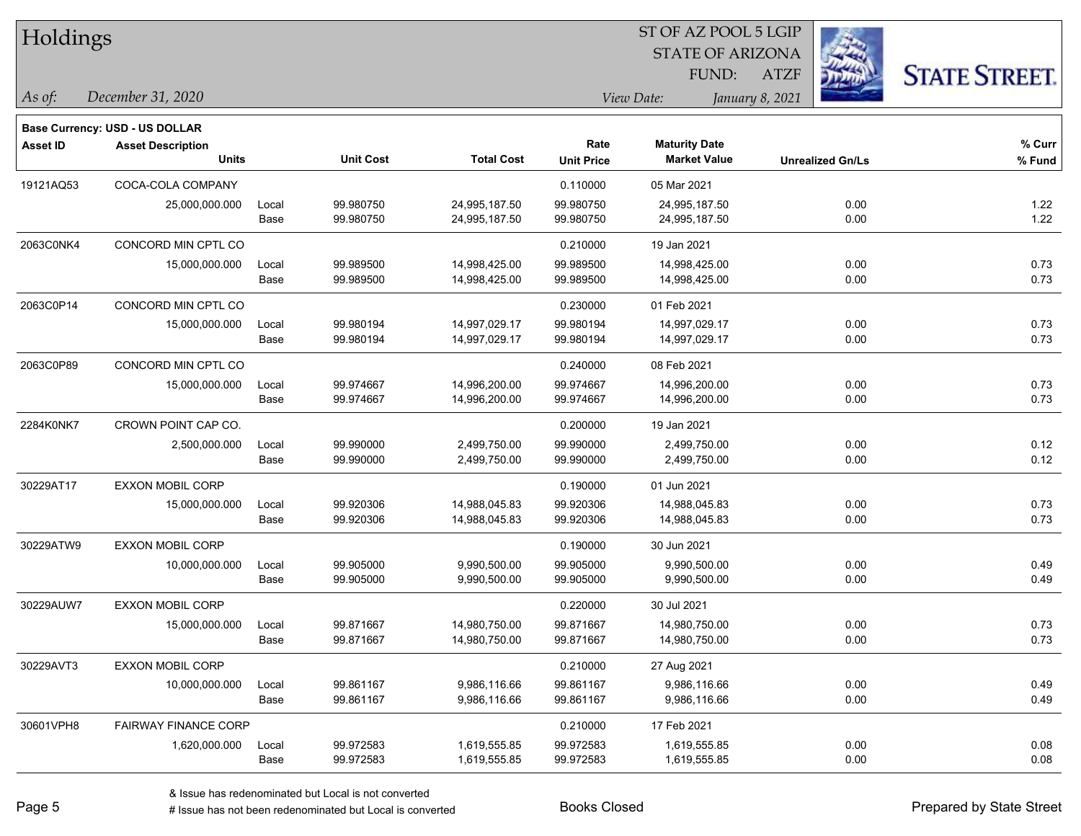| Holdings        |                                          |               |                        |                                |                           | ST OF AZ POOL 5 LGIP                        |                 |                         |                      |
|-----------------|------------------------------------------|---------------|------------------------|--------------------------------|---------------------------|---------------------------------------------|-----------------|-------------------------|----------------------|
|                 |                                          |               |                        |                                |                           | <b>STATE OF ARIZONA</b>                     |                 |                         |                      |
|                 |                                          |               |                        |                                |                           | FUND:                                       | <b>ATZF</b>     |                         | <b>STATE STREET.</b> |
| As of:          | December 31, 2020                        |               |                        |                                | View Date:                |                                             | January 8, 2021 |                         |                      |
|                 |                                          |               |                        |                                |                           |                                             |                 |                         |                      |
|                 | <b>Base Currency: USD - US DOLLAR</b>    |               |                        |                                |                           |                                             |                 |                         |                      |
| <b>Asset ID</b> | <b>Asset Description</b><br><b>Units</b> |               | <b>Unit Cost</b>       | <b>Total Cost</b>              | Rate<br><b>Unit Price</b> | <b>Maturity Date</b><br><b>Market Value</b> |                 | <b>Unrealized Gn/Ls</b> | $%$ Curr<br>% Fund   |
|                 |                                          |               |                        |                                |                           |                                             |                 |                         |                      |
| 19121AQ53       | COCA-COLA COMPANY                        |               |                        |                                | 0.110000                  | 05 Mar 2021                                 |                 |                         |                      |
|                 | 25,000,000.000                           | Local<br>Base | 99.980750<br>99.980750 | 24,995,187.50<br>24,995,187.50 | 99.980750<br>99.980750    | 24,995,187.50<br>24,995,187.50              |                 | 0.00<br>0.00            | 1.22<br>1.22         |
|                 |                                          |               |                        |                                |                           |                                             |                 |                         |                      |
| 2063C0NK4       | CONCORD MIN CPTL CO                      |               |                        |                                | 0.210000                  | 19 Jan 2021                                 |                 |                         |                      |
|                 | 15,000,000.000                           | Local         | 99.989500              | 14,998,425.00                  | 99.989500                 | 14,998,425.00                               |                 | 0.00                    | 0.73<br>0.73         |
|                 |                                          | Base          | 99.989500              | 14,998,425.00                  | 99.989500                 | 14,998,425.00                               |                 | 0.00                    |                      |
| 2063C0P14       | CONCORD MIN CPTL CO                      |               |                        |                                | 0.230000                  | 01 Feb 2021                                 |                 |                         |                      |
|                 | 15,000,000.000                           | Local         | 99.980194              | 14,997,029.17                  | 99.980194                 | 14,997,029.17                               |                 | 0.00                    | 0.73                 |
|                 |                                          | Base          | 99.980194              | 14,997,029.17                  | 99.980194                 | 14,997,029.17                               |                 | 0.00                    | 0.73                 |
| 2063C0P89       | CONCORD MIN CPTL CO                      |               |                        |                                | 0.240000                  | 08 Feb 2021                                 |                 |                         |                      |
|                 | 15,000,000.000                           | Local         | 99.974667              | 14,996,200.00                  | 99.974667                 | 14,996,200.00                               |                 | 0.00                    | 0.73                 |
|                 |                                          | Base          | 99.974667              | 14,996,200.00                  | 99.974667                 | 14,996,200.00                               |                 | 0.00                    | 0.73                 |
| 2284K0NK7       | CROWN POINT CAP CO.                      |               |                        |                                | 0.200000                  | 19 Jan 2021                                 |                 |                         |                      |
|                 | 2,500,000.000                            | Local         | 99.990000              | 2,499,750.00                   | 99.990000                 | 2,499,750.00                                |                 | 0.00                    | 0.12                 |
|                 |                                          | Base          | 99.990000              | 2,499,750.00                   | 99.990000                 | 2,499,750.00                                |                 | 0.00                    | 0.12                 |
| 30229AT17       | <b>EXXON MOBIL CORP</b>                  |               |                        |                                | 0.190000                  | 01 Jun 2021                                 |                 |                         |                      |
|                 | 15,000,000.000                           | Local         | 99.920306              | 14,988,045.83                  | 99.920306                 | 14,988,045.83                               |                 | 0.00                    | 0.73                 |
|                 |                                          | Base          | 99.920306              | 14,988,045.83                  | 99.920306                 | 14,988,045.83                               |                 | 0.00                    | 0.73                 |
| 30229ATW9       | <b>EXXON MOBIL CORP</b>                  |               |                        |                                | 0.190000                  | 30 Jun 2021                                 |                 |                         |                      |
|                 | 10,000,000.000                           | Local         | 99.905000              | 9,990,500.00                   | 99.905000                 | 9,990,500.00                                |                 | 0.00                    | 0.49                 |
|                 |                                          | Base          | 99.905000              | 9,990,500.00                   | 99.905000                 | 9,990,500.00                                |                 | 0.00                    | 0.49                 |
| 30229AUW7       | <b>EXXON MOBIL CORP</b>                  |               |                        |                                | 0.220000                  | 30 Jul 2021                                 |                 |                         |                      |
|                 | 15,000,000.000                           | Local         | 99.871667              | 14,980,750.00                  | 99.871667                 | 14,980,750.00                               |                 | 0.00                    | 0.73                 |
|                 |                                          | Base          | 99.871667              | 14,980,750.00                  | 99.871667                 | 14,980,750.00                               |                 | 0.00                    | 0.73                 |
| 30229AVT3       | <b>EXXON MOBIL CORP</b>                  |               |                        |                                | 0.210000                  | 27 Aug 2021                                 |                 |                         |                      |
|                 | 10,000,000.000                           | Local         | 99.861167              | 9,986,116.66                   | 99.861167                 | 9,986,116.66                                |                 | 0.00                    | 0.49                 |
|                 |                                          | Base          | 99.861167              | 9,986,116.66                   | 99.861167                 | 9,986,116.66                                |                 | 0.00                    | 0.49                 |
| 30601VPH8       | <b>FAIRWAY FINANCE CORP</b>              |               |                        |                                | 0.210000                  | 17 Feb 2021                                 |                 |                         |                      |
|                 | 1,620,000.000                            | Local         | 99.972583              | 1,619,555.85                   | 99.972583                 | 1,619,555.85                                |                 | 0.00                    | 0.08                 |
|                 |                                          | Base          | 99.972583              | 1,619,555.85                   | 99.972583                 | 1,619,555.85                                |                 | 0.00                    | 0.08                 |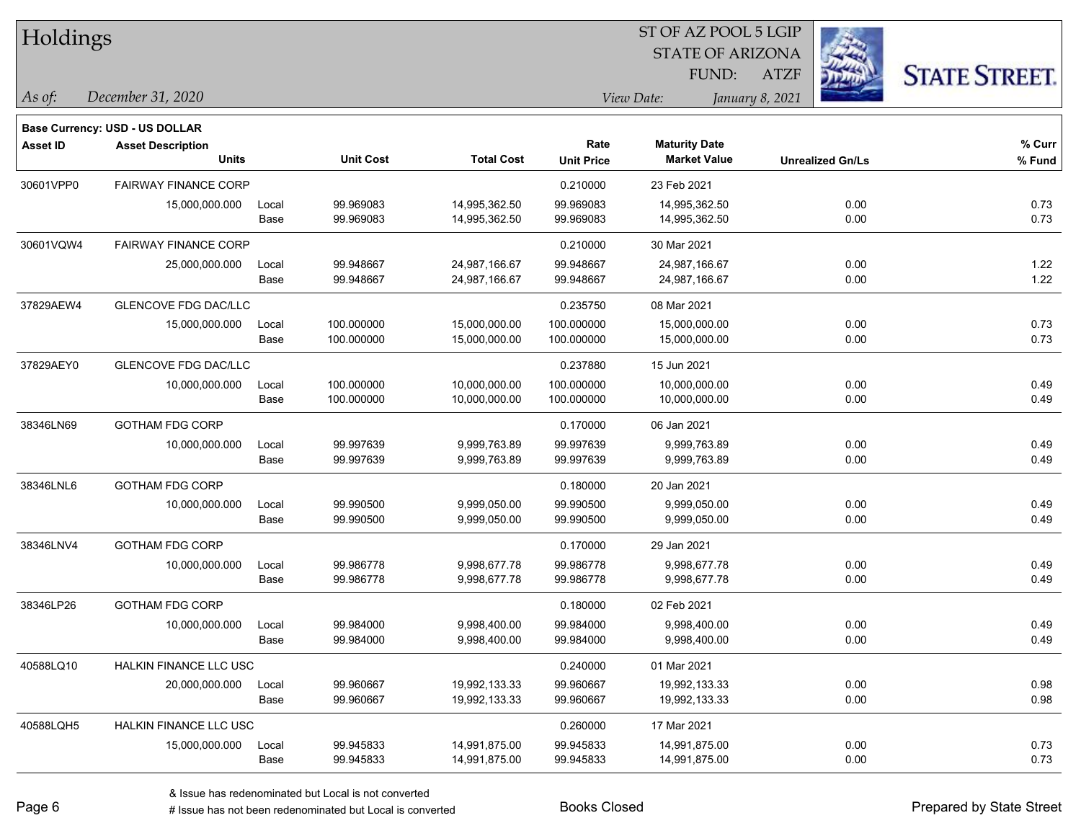| Holdings        |                                       |       |                  |                   |                   |                         |                         |                      |
|-----------------|---------------------------------------|-------|------------------|-------------------|-------------------|-------------------------|-------------------------|----------------------|
|                 |                                       |       |                  |                   |                   | <b>STATE OF ARIZONA</b> | Ż.                      |                      |
|                 |                                       |       |                  |                   |                   | FUND:                   | <b>ATZF</b>             | <b>STATE STREET.</b> |
| As of:          | December 31, 2020                     |       |                  |                   |                   | View Date:              | January 8, 2021         |                      |
|                 | <b>Base Currency: USD - US DOLLAR</b> |       |                  |                   |                   |                         |                         |                      |
| <b>Asset ID</b> | <b>Asset Description</b>              |       |                  |                   | Rate              | <b>Maturity Date</b>    |                         | $%$ Curr             |
|                 | <b>Units</b>                          |       | <b>Unit Cost</b> | <b>Total Cost</b> | <b>Unit Price</b> | <b>Market Value</b>     | <b>Unrealized Gn/Ls</b> | % Fund               |
| 30601VPP0       | <b>FAIRWAY FINANCE CORP</b>           |       |                  |                   | 0.210000          | 23 Feb 2021             |                         |                      |
|                 | 15,000,000.000                        | Local | 99.969083        | 14,995,362.50     | 99.969083         | 14,995,362.50           | 0.00                    | 0.73                 |
|                 |                                       | Base  | 99.969083        | 14,995,362.50     | 99.969083         | 14,995,362.50           | 0.00                    | 0.73                 |
| 30601VQW4       | <b>FAIRWAY FINANCE CORP</b>           |       |                  |                   | 0.210000          | 30 Mar 2021             |                         |                      |
|                 | 25,000,000.000                        | Local | 99.948667        | 24,987,166.67     | 99.948667         | 24,987,166.67           | 0.00                    | 1.22                 |
|                 |                                       | Base  | 99.948667        | 24,987,166.67     | 99.948667         | 24,987,166.67           | 0.00                    | 1.22                 |
| 37829AEW4       | <b>GLENCOVE FDG DAC/LLC</b>           |       |                  |                   | 0.235750          | 08 Mar 2021             |                         |                      |
|                 | 15,000,000.000                        | Local | 100.000000       | 15,000,000.00     | 100.000000        | 15,000,000.00           | 0.00                    | 0.73                 |
|                 |                                       | Base  | 100.000000       | 15,000,000.00     | 100.000000        | 15,000,000.00           | 0.00                    | 0.73                 |
| 37829AEY0       | <b>GLENCOVE FDG DAC/LLC</b>           |       |                  |                   | 0.237880          | 15 Jun 2021             |                         |                      |
|                 | 10,000,000.000                        | Local | 100.000000       | 10,000,000.00     | 100.000000        | 10,000,000.00           | 0.00                    | 0.49                 |
|                 |                                       | Base  | 100.000000       | 10,000,000.00     | 100.000000        | 10,000,000.00           | 0.00                    | 0.49                 |
| 38346LN69       | <b>GOTHAM FDG CORP</b>                |       |                  |                   | 0.170000          | 06 Jan 2021             |                         |                      |
|                 | 10,000,000.000                        | Local | 99.997639        | 9,999,763.89      | 99.997639         | 9,999,763.89            | 0.00                    | 0.49                 |
|                 |                                       | Base  | 99.997639        | 9,999,763.89      | 99.997639         | 9,999,763.89            | 0.00                    | 0.49                 |
| 38346LNL6       | <b>GOTHAM FDG CORP</b>                |       |                  |                   | 0.180000          | 20 Jan 2021             |                         |                      |
|                 | 10,000,000.000                        | Local | 99.990500        | 9,999,050.00      | 99.990500         | 9,999,050.00            | 0.00                    | 0.49                 |
|                 |                                       | Base  | 99.990500        | 9,999,050.00      | 99.990500         | 9,999,050.00            | 0.00                    | 0.49                 |
| 38346LNV4       | <b>GOTHAM FDG CORP</b>                |       |                  |                   | 0.170000          | 29 Jan 2021             |                         |                      |
|                 | 10,000,000.000                        | Local | 99.986778        | 9,998,677.78      | 99.986778         | 9,998,677.78            | 0.00                    | 0.49                 |
|                 |                                       | Base  | 99.986778        | 9,998,677.78      | 99.986778         | 9,998,677.78            | 0.00                    | 0.49                 |
| 38346LP26       | <b>GOTHAM FDG CORP</b>                |       |                  |                   | 0.180000          | 02 Feb 2021             |                         |                      |
|                 | 10,000,000.000                        | Local | 99.984000        | 9,998,400.00      | 99.984000         | 9,998,400.00            | 0.00                    | 0.49                 |
|                 |                                       | Base  | 99.984000        | 9,998,400.00      | 99.984000         | 9,998,400.00            | 0.00                    | 0.49                 |
| 40588LQ10       | HALKIN FINANCE LLC USC                |       |                  |                   | 0.240000          | 01 Mar 2021             |                         |                      |
|                 | 20,000,000.000                        | Local | 99.960667        | 19,992,133.33     | 99.960667         | 19,992,133.33           | 0.00                    | 0.98                 |
|                 |                                       | Base  | 99.960667        | 19,992,133.33     | 99.960667         | 19,992,133.33           | 0.00                    | 0.98                 |
| 40588LQH5       | HALKIN FINANCE LLC USC                |       |                  |                   | 0.260000          | 17 Mar 2021             |                         |                      |
|                 | 15,000,000.000                        | Local | 99.945833        | 14,991,875.00     | 99.945833         | 14,991,875.00           | 0.00                    | 0.73                 |
|                 |                                       | Base  | 99.945833        | 14,991,875.00     | 99.945833         | 14,991,875.00           | 0.00                    | 0.73                 |

 $\overline{\text{SE ADO}}$   $\overline{\text{SVD}}$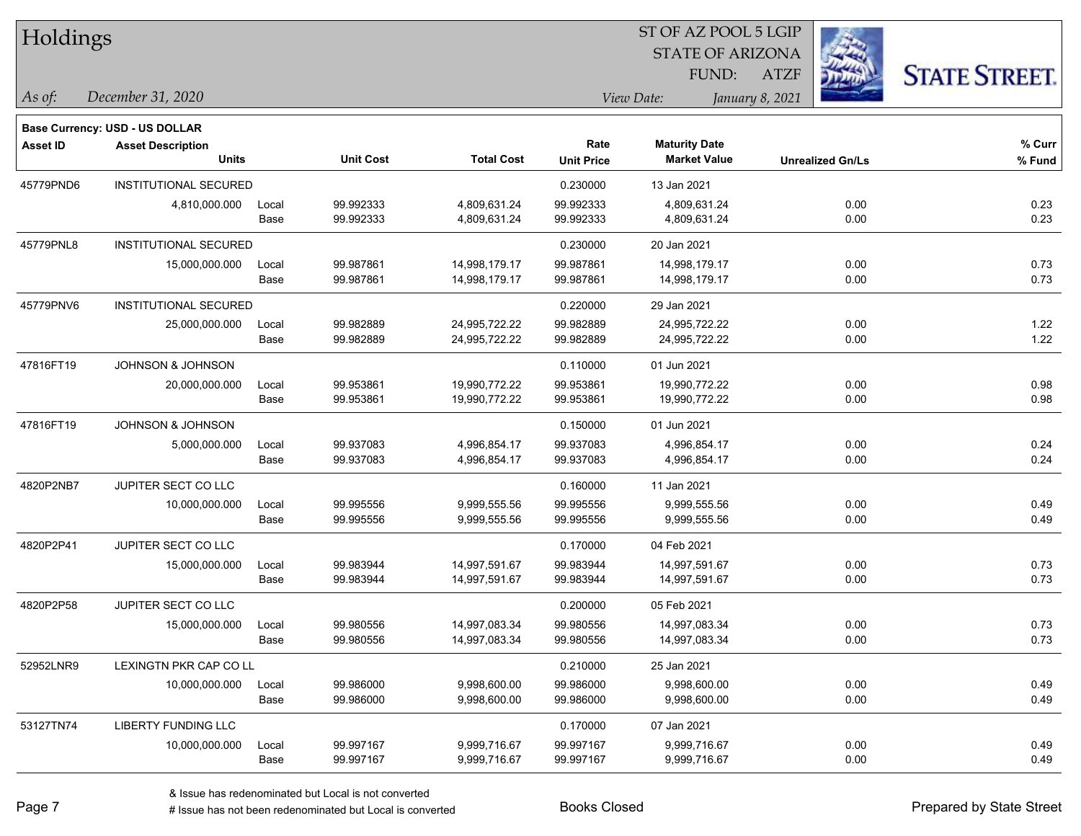| Holdings        |                                       |       |                  |                   | 51 OF AZ POOL 5 LGIP<br><b>REGISTER</b><br><b>STATE OF ARIZONA</b> |                               |                         |                      |  |  |
|-----------------|---------------------------------------|-------|------------------|-------------------|--------------------------------------------------------------------|-------------------------------|-------------------------|----------------------|--|--|
|                 |                                       |       |                  |                   |                                                                    |                               |                         |                      |  |  |
|                 |                                       |       |                  |                   |                                                                    | FUND:                         | <b>ATZF</b>             | <b>STATE STREET.</b> |  |  |
| As of:          | December 31, 2020                     |       |                  |                   |                                                                    | View Date:<br>January 8, 2021 |                         |                      |  |  |
|                 | <b>Base Currency: USD - US DOLLAR</b> |       |                  |                   |                                                                    |                               |                         |                      |  |  |
| <b>Asset ID</b> | <b>Asset Description</b>              |       |                  |                   | Rate                                                               | <b>Maturity Date</b>          |                         | $%$ Curr             |  |  |
|                 | <b>Units</b>                          |       | <b>Unit Cost</b> | <b>Total Cost</b> | <b>Unit Price</b>                                                  | <b>Market Value</b>           | <b>Unrealized Gn/Ls</b> | % Fund               |  |  |
| 45779PND6       | <b>INSTITUTIONAL SECURED</b>          |       |                  |                   | 0.230000                                                           | 13 Jan 2021                   |                         |                      |  |  |
|                 | 4,810,000.000                         | Local | 99.992333        | 4,809,631.24      | 99.992333                                                          | 4,809,631.24                  | 0.00                    | 0.23                 |  |  |
|                 |                                       | Base  | 99.992333        | 4,809,631.24      | 99.992333                                                          | 4,809,631.24                  | 0.00                    | 0.23                 |  |  |
| 45779PNL8       | INSTITUTIONAL SECURED                 |       |                  |                   | 0.230000                                                           | 20 Jan 2021                   |                         |                      |  |  |
|                 | 15,000,000.000                        | Local | 99.987861        | 14,998,179.17     | 99.987861                                                          | 14,998,179.17                 | 0.00                    | 0.73                 |  |  |
|                 |                                       | Base  | 99.987861        | 14,998,179.17     | 99.987861                                                          | 14,998,179.17                 | 0.00                    | 0.73                 |  |  |
| 45779PNV6       | INSTITUTIONAL SECURED                 |       |                  |                   | 0.220000                                                           | 29 Jan 2021                   |                         |                      |  |  |
|                 | 25,000,000.000                        | Local | 99.982889        | 24,995,722.22     | 99.982889                                                          | 24,995,722.22                 | 0.00                    | 1.22                 |  |  |
|                 |                                       | Base  | 99.982889        | 24,995,722.22     | 99.982889                                                          | 24,995,722.22                 | 0.00                    | 1.22                 |  |  |
| 47816FT19       | <b>JOHNSON &amp; JOHNSON</b>          |       |                  |                   | 0.110000                                                           | 01 Jun 2021                   |                         |                      |  |  |
|                 | 20,000,000.000                        | Local | 99.953861        | 19,990,772.22     | 99.953861                                                          | 19,990,772.22                 | 0.00                    | 0.98                 |  |  |
|                 |                                       | Base  | 99.953861        | 19,990,772.22     | 99.953861                                                          | 19,990,772.22                 | 0.00                    | 0.98                 |  |  |
| 47816FT19       | JOHNSON & JOHNSON                     |       |                  |                   | 0.150000                                                           | 01 Jun 2021                   |                         |                      |  |  |
|                 | 5,000,000.000                         | Local | 99.937083        | 4,996,854.17      | 99.937083                                                          | 4,996,854.17                  | 0.00                    | 0.24                 |  |  |
|                 |                                       | Base  | 99.937083        | 4,996,854.17      | 99.937083                                                          | 4,996,854.17                  | 0.00                    | 0.24                 |  |  |
| 4820P2NB7       | JUPITER SECT CO LLC                   |       |                  |                   | 0.160000                                                           | 11 Jan 2021                   |                         |                      |  |  |
|                 | 10,000,000.000                        | Local | 99.995556        | 9,999,555.56      | 99.995556                                                          | 9,999,555.56                  | 0.00                    | 0.49                 |  |  |
|                 |                                       | Base  | 99.995556        | 9,999,555.56      | 99.995556                                                          | 9,999,555.56                  | 0.00                    | 0.49                 |  |  |
| 4820P2P41       | JUPITER SECT CO LLC                   |       |                  |                   | 0.170000                                                           | 04 Feb 2021                   |                         |                      |  |  |
|                 | 15,000,000.000                        | Local | 99.983944        | 14,997,591.67     | 99.983944                                                          | 14,997,591.67                 | 0.00                    | 0.73                 |  |  |
|                 |                                       | Base  | 99.983944        | 14,997,591.67     | 99.983944                                                          | 14,997,591.67                 | 0.00                    | 0.73                 |  |  |
| 4820P2P58       | JUPITER SECT CO LLC                   |       |                  |                   | 0.200000                                                           | 05 Feb 2021                   |                         |                      |  |  |
|                 | 15,000,000.000                        | Local | 99.980556        | 14,997,083.34     | 99.980556                                                          | 14,997,083.34                 | 0.00                    | 0.73                 |  |  |
|                 |                                       | Base  | 99.980556        | 14,997,083.34     | 99.980556                                                          | 14,997,083.34                 | 0.00                    | 0.73                 |  |  |
| 52952LNR9       | LEXINGTN PKR CAP CO LL                |       |                  |                   | 0.210000                                                           | 25 Jan 2021                   |                         |                      |  |  |
|                 | 10,000,000.000                        | Local | 99.986000        | 9,998,600.00      | 99.986000                                                          | 9,998,600.00                  | 0.00                    | 0.49                 |  |  |
|                 |                                       | Base  | 99.986000        | 9,998,600.00      | 99.986000                                                          | 9,998,600.00                  | 0.00                    | 0.49                 |  |  |
| 53127TN74       | LIBERTY FUNDING LLC                   |       |                  |                   | 0.170000                                                           | 07 Jan 2021                   |                         |                      |  |  |
|                 | 10,000,000.000                        | Local | 99.997167        | 9,999,716.67      | 99.997167                                                          | 9,999,716.67                  | 0.00                    | 0.49                 |  |  |
|                 |                                       | Base  | 99.997167        | 9,999,716.67      | 99.997167                                                          | 9,999,716.67                  | 0.00                    | 0.49                 |  |  |

 $\overline{\text{SE ADO}}$   $\overline{\text{SVD}}$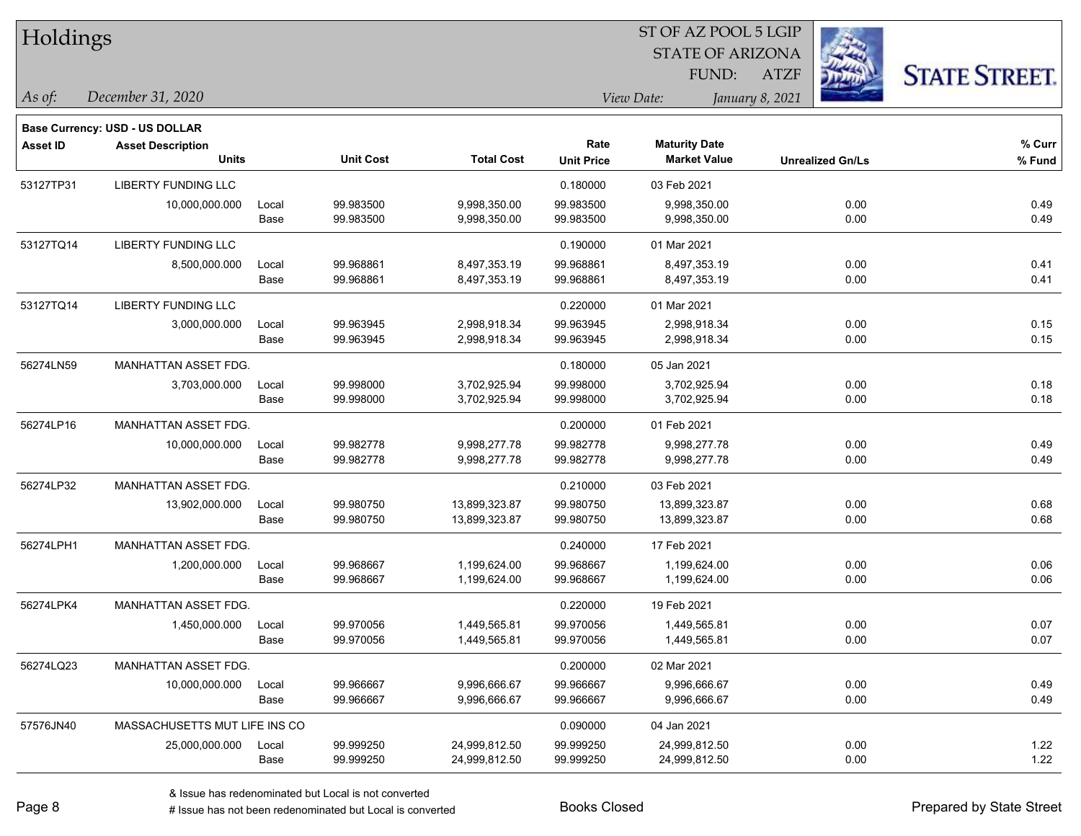| <b>Holdings</b> |                                          |       |                  |                   |                           | 51 OF AZ POOL 5 LGIP<br><b>STATE OF ARIZONA</b><br>FUND: | <b>ATZF</b>             | <b>STATE STREET.</b> |
|-----------------|------------------------------------------|-------|------------------|-------------------|---------------------------|----------------------------------------------------------|-------------------------|----------------------|
| As of:          | December 31, 2020                        |       |                  |                   |                           | View Date:<br>January 8, 2021                            |                         |                      |
|                 | <b>Base Currency: USD - US DOLLAR</b>    |       |                  |                   |                           |                                                          |                         |                      |
| <b>Asset ID</b> | <b>Asset Description</b><br><b>Units</b> |       | <b>Unit Cost</b> | <b>Total Cost</b> | Rate<br><b>Unit Price</b> | <b>Maturity Date</b><br><b>Market Value</b>              | <b>Unrealized Gn/Ls</b> | % Curr<br>% Fund     |
| 53127TP31       | LIBERTY FUNDING LLC                      |       |                  |                   | 0.180000                  | 03 Feb 2021                                              |                         |                      |
|                 | 10,000,000.000                           | Local | 99.983500        | 9,998,350.00      | 99.983500                 | 9,998,350.00                                             | 0.00                    | 0.49                 |
|                 |                                          | Base  | 99.983500        | 9,998,350.00      | 99.983500                 | 9,998,350.00                                             | 0.00                    | 0.49                 |
| 53127TQ14       | <b>LIBERTY FUNDING LLC</b>               |       |                  |                   | 0.190000                  | 01 Mar 2021                                              |                         |                      |
|                 | 8,500,000.000                            | Local | 99.968861        | 8,497,353.19      | 99.968861                 | 8,497,353.19                                             | 0.00                    | 0.41                 |
|                 |                                          | Base  | 99.968861        | 8,497,353.19      | 99.968861                 | 8,497,353.19                                             | 0.00                    | 0.41                 |
| 53127TQ14       | <b>LIBERTY FUNDING LLC</b>               |       |                  |                   | 0.220000                  | 01 Mar 2021                                              |                         |                      |
|                 | 3,000,000.000                            | Local | 99.963945        | 2,998,918.34      | 99.963945                 | 2,998,918.34                                             | 0.00                    | 0.15                 |
|                 |                                          | Base  | 99.963945        | 2,998,918.34      | 99.963945                 | 2,998,918.34                                             | 0.00                    | 0.15                 |
| 56274LN59       | MANHATTAN ASSET FDG.                     |       |                  |                   | 0.180000                  | 05 Jan 2021                                              |                         |                      |
|                 | 3,703,000.000                            | Local | 99.998000        | 3,702,925.94      | 99.998000                 | 3,702,925.94                                             | 0.00                    | 0.18                 |
|                 |                                          | Base  | 99.998000        | 3,702,925.94      | 99.998000                 | 3,702,925.94                                             | 0.00                    | 0.18                 |
| 56274LP16       | MANHATTAN ASSET FDG.                     |       |                  |                   | 0.200000                  | 01 Feb 2021                                              |                         |                      |
|                 | 10,000,000.000                           | Local | 99.982778        | 9,998,277.78      | 99.982778                 | 9,998,277.78                                             | 0.00                    | 0.49                 |
|                 |                                          | Base  | 99.982778        | 9,998,277.78      | 99.982778                 | 9,998,277.78                                             | 0.00                    | 0.49                 |
| 56274LP32       | MANHATTAN ASSET FDG.                     |       |                  |                   | 0.210000                  | 03 Feb 2021                                              |                         |                      |
|                 | 13,902,000.000                           | Local | 99.980750        | 13,899,323.87     | 99.980750                 | 13,899,323.87                                            | 0.00                    | 0.68                 |
|                 |                                          | Base  | 99.980750        | 13,899,323.87     | 99.980750                 | 13,899,323.87                                            | 0.00                    | 0.68                 |
| 56274LPH1       | MANHATTAN ASSET FDG.                     |       |                  |                   | 0.240000                  | 17 Feb 2021                                              |                         |                      |
|                 | 1,200,000.000                            | Local | 99.968667        | 1,199,624.00      | 99.968667                 | 1,199,624.00                                             | 0.00                    | 0.06                 |
|                 |                                          | Base  | 99.968667        | 1,199,624.00      | 99.968667                 | 1,199,624.00                                             | 0.00                    | 0.06                 |
| 56274LPK4       | MANHATTAN ASSET FDG.                     |       |                  |                   | 0.220000                  | 19 Feb 2021                                              |                         |                      |
|                 | 1,450,000.000                            | Local | 99.970056        | 1,449,565.81      | 99.970056                 | 1,449,565.81                                             | 0.00                    | 0.07                 |
|                 |                                          | Base  | 99.970056        | 1,449,565.81      | 99.970056                 | 1,449,565.81                                             | 0.00                    | 0.07                 |
| 56274LQ23       | MANHATTAN ASSET FDG.                     |       |                  |                   | 0.200000                  | 02 Mar 2021                                              |                         |                      |
|                 | 10,000,000.000                           | Local | 99.966667        | 9,996,666.67      | 99.966667                 | 9,996,666.67                                             | 0.00                    | 0.49                 |
|                 |                                          | Base  | 99.966667        | 9,996,666.67      | 99.966667                 | 9,996,666.67                                             | 0.00                    | 0.49                 |
| 57576JN40       | MASSACHUSETTS MUT LIFE INS CO            |       |                  |                   | 0.090000                  | 04 Jan 2021                                              |                         |                      |
|                 | 25,000,000.000                           | Local | 99.999250        | 24,999,812.50     | 99.999250                 | 24,999,812.50                                            | 0.00                    | 1.22                 |
|                 |                                          | Base  | 99.999250        | 24,999,812.50     | 99.999250                 | 24,999,812.50                                            | 0.00                    | 1.22                 |

denote the redenominated but Local is converted Books Closed Prepared by State Street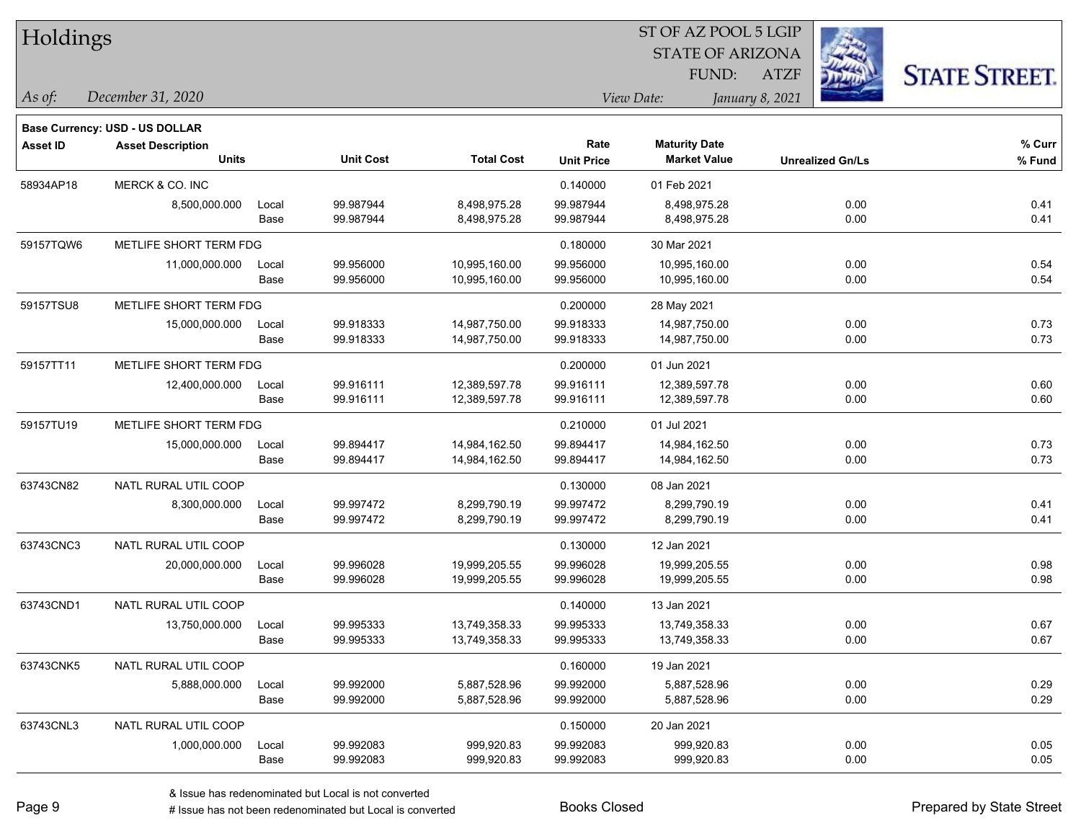| <b>Holdings</b> |                                          |       |                  |                   |                           | 51 OF AZ POOL 5 LGIP<br><b>STATE OF ARIZONA</b><br>FUND: | <b>ATZF</b>             | <b>STATE STREET.</b> |
|-----------------|------------------------------------------|-------|------------------|-------------------|---------------------------|----------------------------------------------------------|-------------------------|----------------------|
| As of:          | December 31, 2020                        |       |                  |                   |                           | View Date:                                               | January 8, 2021         |                      |
|                 | <b>Base Currency: USD - US DOLLAR</b>    |       |                  |                   |                           |                                                          |                         |                      |
| <b>Asset ID</b> | <b>Asset Description</b><br><b>Units</b> |       | <b>Unit Cost</b> | <b>Total Cost</b> | Rate<br><b>Unit Price</b> | <b>Maturity Date</b><br><b>Market Value</b>              | <b>Unrealized Gn/Ls</b> | % Curr<br>% Fund     |
| 58934AP18       | MERCK & CO. INC                          |       |                  |                   | 0.140000                  | 01 Feb 2021                                              |                         |                      |
|                 | 8,500,000.000                            | Local | 99.987944        | 8,498,975.28      | 99.987944                 | 8,498,975.28                                             | 0.00                    | 0.41                 |
|                 |                                          | Base  | 99.987944        | 8,498,975.28      | 99.987944                 | 8,498,975.28                                             | 0.00                    | 0.41                 |
| 59157TQW6       | METLIFE SHORT TERM FDG                   |       |                  |                   | 0.180000                  | 30 Mar 2021                                              |                         |                      |
|                 | 11,000,000.000                           | Local | 99.956000        | 10,995,160.00     | 99.956000                 | 10,995,160.00                                            | 0.00                    | 0.54                 |
|                 |                                          | Base  | 99.956000        | 10,995,160.00     | 99.956000                 | 10,995,160.00                                            | 0.00                    | 0.54                 |
| 59157TSU8       | METLIFE SHORT TERM FDG                   |       |                  |                   | 0.200000                  | 28 May 2021                                              |                         |                      |
|                 | 15,000,000.000                           | Local | 99.918333        | 14,987,750.00     | 99.918333                 | 14,987,750.00                                            | 0.00                    | 0.73                 |
|                 |                                          | Base  | 99.918333        | 14,987,750.00     | 99.918333                 | 14,987,750.00                                            | 0.00                    | 0.73                 |
| 59157TT11       | METLIFE SHORT TERM FDG                   |       |                  |                   | 0.200000                  | 01 Jun 2021                                              |                         |                      |
|                 | 12,400,000.000                           | Local | 99.916111        | 12,389,597.78     | 99.916111                 | 12,389,597.78                                            | 0.00                    | 0.60                 |
|                 |                                          | Base  | 99.916111        | 12,389,597.78     | 99.916111                 | 12,389,597.78                                            | 0.00                    | 0.60                 |
| 59157TU19       | METLIFE SHORT TERM FDG                   |       |                  |                   | 0.210000                  | 01 Jul 2021                                              |                         |                      |
|                 | 15,000,000.000                           | Local | 99.894417        | 14,984,162.50     | 99.894417                 | 14,984,162.50                                            | 0.00                    | 0.73                 |
|                 |                                          | Base  | 99.894417        | 14,984,162.50     | 99.894417                 | 14,984,162.50                                            | 0.00                    | 0.73                 |
| 63743CN82       | NATL RURAL UTIL COOP                     |       |                  |                   | 0.130000                  | 08 Jan 2021                                              |                         |                      |
|                 | 8,300,000.000                            | Local | 99.997472        | 8,299,790.19      | 99.997472                 | 8,299,790.19                                             | 0.00                    | 0.41                 |
|                 |                                          | Base  | 99.997472        | 8,299,790.19      | 99.997472                 | 8,299,790.19                                             | 0.00                    | 0.41                 |
| 63743CNC3       | NATL RURAL UTIL COOP                     |       |                  |                   | 0.130000                  | 12 Jan 2021                                              |                         |                      |
|                 | 20,000,000.000                           | Local | 99.996028        | 19,999,205.55     | 99.996028                 | 19,999,205.55                                            | 0.00                    | 0.98                 |
|                 |                                          | Base  | 99.996028        | 19,999,205.55     | 99.996028                 | 19,999,205.55                                            | 0.00                    | 0.98                 |
| 63743CND1       | NATL RURAL UTIL COOP                     |       |                  |                   | 0.140000                  | 13 Jan 2021                                              |                         |                      |
|                 | 13,750,000.000                           | Local | 99.995333        | 13,749,358.33     | 99.995333                 | 13,749,358.33                                            | 0.00                    | 0.67                 |
|                 |                                          | Base  | 99.995333        | 13,749,358.33     | 99.995333                 | 13,749,358.33                                            | 0.00                    | 0.67                 |
| 63743CNK5       | NATL RURAL UTIL COOP                     |       |                  |                   | 0.160000                  | 19 Jan 2021                                              |                         |                      |
|                 | 5,888,000.000                            | Local | 99.992000        | 5,887,528.96      | 99.992000                 | 5,887,528.96                                             | 0.00                    | 0.29                 |
|                 |                                          | Base  | 99.992000        | 5,887,528.96      | 99.992000                 | 5,887,528.96                                             | 0.00                    | 0.29                 |
| 63743CNL3       | NATL RURAL UTIL COOP                     |       |                  |                   | 0.150000                  | 20 Jan 2021                                              |                         |                      |
|                 | 1,000,000.000                            | Local | 99.992083        | 999,920.83        | 99.992083                 | 999,920.83                                               | 0.00                    | 0.05                 |
|                 |                                          | Base  | 99.992083        | 999,920.83        | 99.992083                 | 999,920.83                                               | 0.00                    | 0.05                 |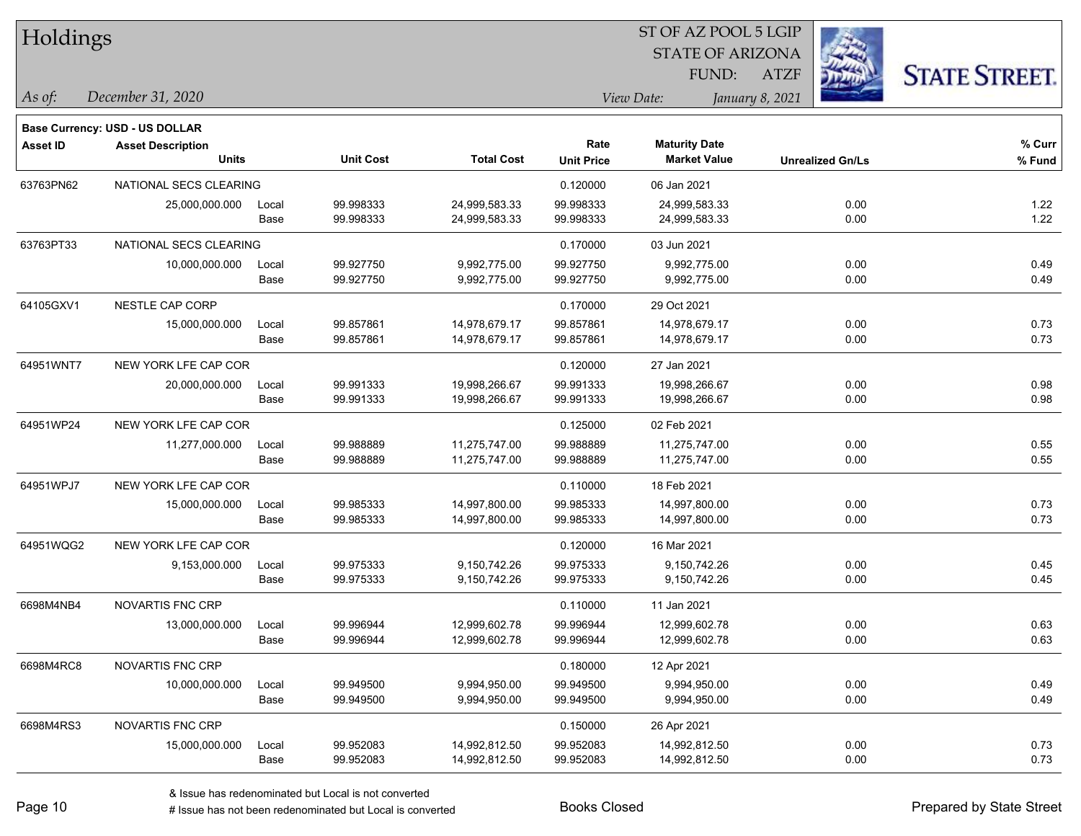| Holdings        |                                       |       |                  |                   | 51 OF AZ POOL 5 LGIP |                         |                         |                     |  |  |
|-----------------|---------------------------------------|-------|------------------|-------------------|----------------------|-------------------------|-------------------------|---------------------|--|--|
|                 |                                       |       |                  |                   |                      | <b>STATE OF ARIZONA</b> |                         |                     |  |  |
|                 |                                       |       |                  |                   |                      | FUND:                   | <b>ATZF</b>             | <b>STATE STREET</b> |  |  |
| As of:          | December 31, 2020                     |       |                  |                   |                      | View Date:              | January 8, 2021         |                     |  |  |
|                 | <b>Base Currency: USD - US DOLLAR</b> |       |                  |                   |                      |                         |                         |                     |  |  |
| <b>Asset ID</b> | <b>Asset Description</b>              |       |                  |                   | Rate                 | <b>Maturity Date</b>    |                         | % Curr              |  |  |
|                 | <b>Units</b>                          |       | <b>Unit Cost</b> | <b>Total Cost</b> | <b>Unit Price</b>    | <b>Market Value</b>     | <b>Unrealized Gn/Ls</b> | % Fund              |  |  |
| 63763PN62       | NATIONAL SECS CLEARING                |       |                  |                   | 0.120000             | 06 Jan 2021             |                         |                     |  |  |
|                 | 25,000,000.000                        | Local | 99.998333        | 24,999,583.33     | 99.998333            | 24,999,583.33           | 0.00                    | 1.22                |  |  |
|                 |                                       | Base  | 99.998333        | 24,999,583.33     | 99.998333            | 24,999,583.33           | 0.00                    | 1.22                |  |  |
| 63763PT33       | NATIONAL SECS CLEARING                |       |                  |                   | 0.170000             | 03 Jun 2021             |                         |                     |  |  |
|                 | 10,000,000.000                        | Local | 99.927750        | 9,992,775.00      | 99.927750            | 9,992,775.00            | 0.00                    | 0.49                |  |  |
|                 |                                       | Base  | 99.927750        | 9,992,775.00      | 99.927750            | 9,992,775.00            | 0.00                    | 0.49                |  |  |
| 64105GXV1       | NESTLE CAP CORP                       |       |                  |                   | 0.170000             | 29 Oct 2021             |                         |                     |  |  |
|                 | 15,000,000.000                        | Local | 99.857861        | 14,978,679.17     | 99.857861            | 14,978,679.17           | 0.00                    | 0.73                |  |  |
|                 |                                       | Base  | 99.857861        | 14,978,679.17     | 99.857861            | 14,978,679.17           | 0.00                    | 0.73                |  |  |
| 64951WNT7       | NEW YORK LFE CAP COR                  |       |                  |                   | 0.120000             | 27 Jan 2021             |                         |                     |  |  |
|                 | 20,000,000.000                        | Local | 99.991333        | 19,998,266.67     | 99.991333            | 19,998,266.67           | 0.00                    | 0.98                |  |  |
|                 |                                       | Base  | 99.991333        | 19,998,266.67     | 99.991333            | 19,998,266.67           | 0.00                    | 0.98                |  |  |
| 64951WP24       | NEW YORK LFE CAP COR                  |       |                  |                   | 0.125000             | 02 Feb 2021             |                         |                     |  |  |
|                 | 11,277,000.000                        | Local | 99.988889        | 11,275,747.00     | 99.988889            | 11,275,747.00           | 0.00                    | 0.55                |  |  |
|                 |                                       | Base  | 99.988889        | 11,275,747.00     | 99.988889            | 11,275,747.00           | 0.00                    | 0.55                |  |  |
| 64951WPJ7       | NEW YORK LFE CAP COR                  |       |                  |                   | 0.110000             | 18 Feb 2021             |                         |                     |  |  |
|                 | 15,000,000.000                        | Local | 99.985333        | 14,997,800.00     | 99.985333            | 14,997,800.00           | 0.00                    | 0.73                |  |  |
|                 |                                       | Base  | 99.985333        | 14,997,800.00     | 99.985333            | 14,997,800.00           | 0.00                    | 0.73                |  |  |
| 64951WQG2       | NEW YORK LFE CAP COR                  |       |                  |                   | 0.120000             | 16 Mar 2021             |                         |                     |  |  |
|                 | 9,153,000.000                         | Local | 99.975333        | 9,150,742.26      | 99.975333            | 9,150,742.26            | 0.00                    | 0.45                |  |  |
|                 |                                       | Base  | 99.975333        | 9,150,742.26      | 99.975333            | 9,150,742.26            | 0.00                    | 0.45                |  |  |
| 6698M4NB4       | <b>NOVARTIS FNC CRP</b>               |       |                  |                   | 0.110000             | 11 Jan 2021             |                         |                     |  |  |
|                 | 13,000,000.000                        | Local | 99.996944        | 12,999,602.78     | 99.996944            | 12,999,602.78           | 0.00                    | 0.63                |  |  |
|                 |                                       | Base  | 99.996944        | 12,999,602.78     | 99.996944            | 12,999,602.78           | 0.00                    | 0.63                |  |  |
| 6698M4RC8       | NOVARTIS FNC CRP                      |       |                  |                   | 0.180000             | 12 Apr 2021             |                         |                     |  |  |
|                 | 10,000,000.000                        | Local | 99.949500        | 9,994,950.00      | 99.949500            | 9,994,950.00            | 0.00                    | 0.49                |  |  |
|                 |                                       | Base  | 99.949500        | 9,994,950.00      | 99.949500            | 9,994,950.00            | 0.00                    | 0.49                |  |  |
| 6698M4RS3       | NOVARTIS FNC CRP                      |       |                  |                   | 0.150000             | 26 Apr 2021             |                         |                     |  |  |
|                 | 15,000,000.000                        | Local | 99.952083        | 14,992,812.50     | 99.952083            | 14,992,812.50           | 0.00                    | 0.73                |  |  |
|                 |                                       | Base  | 99.952083        | 14,992,812.50     | 99.952083            | 14,992,812.50           | 0.00                    | 0.73                |  |  |

 $\overline{\text{ST A Z DOO}}$   $\overline{\text{SLO}}$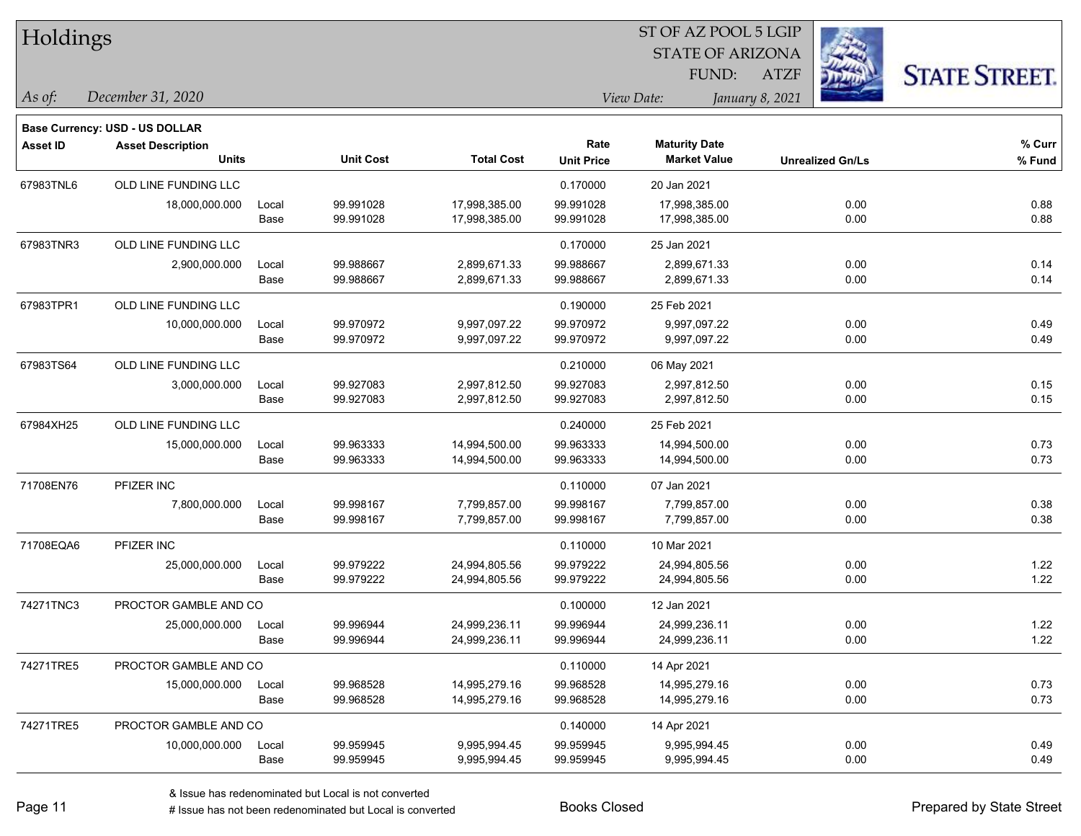| Holdings        |                                          |               |                        |                                |                           | ST OF AZ POOL 5 LGIP                        |                         |                      |  |
|-----------------|------------------------------------------|---------------|------------------------|--------------------------------|---------------------------|---------------------------------------------|-------------------------|----------------------|--|
|                 |                                          |               |                        |                                |                           | <b>STATE OF ARIZONA</b>                     |                         |                      |  |
|                 |                                          |               |                        |                                |                           | FUND:                                       | <b>ATZF</b>             | <b>STATE STREET.</b> |  |
| As of:          | December 31, 2020                        |               |                        |                                |                           | View Date:                                  | January 8, 2021         |                      |  |
|                 |                                          |               |                        |                                |                           |                                             |                         |                      |  |
|                 | <b>Base Currency: USD - US DOLLAR</b>    |               |                        |                                |                           |                                             |                         |                      |  |
| <b>Asset ID</b> | <b>Asset Description</b><br><b>Units</b> |               | <b>Unit Cost</b>       | <b>Total Cost</b>              | Rate<br><b>Unit Price</b> | <b>Maturity Date</b><br><b>Market Value</b> | <b>Unrealized Gn/Ls</b> | % Curr<br>% Fund     |  |
|                 |                                          |               |                        |                                |                           |                                             |                         |                      |  |
| 67983TNL6       | OLD LINE FUNDING LLC                     |               |                        |                                | 0.170000                  | 20 Jan 2021                                 |                         |                      |  |
|                 | 18,000,000.000                           | Local<br>Base | 99.991028<br>99.991028 | 17,998,385.00<br>17,998,385.00 | 99.991028<br>99.991028    | 17,998,385.00<br>17,998,385.00              | 0.00<br>0.00            | 0.88<br>0.88         |  |
|                 |                                          |               |                        |                                |                           |                                             |                         |                      |  |
| 67983TNR3       | OLD LINE FUNDING LLC                     |               |                        |                                | 0.170000                  | 25 Jan 2021                                 |                         |                      |  |
|                 | 2,900,000.000                            | Local         | 99.988667              | 2,899,671.33                   | 99.988667                 | 2,899,671.33                                | 0.00                    | 0.14                 |  |
|                 |                                          | Base          | 99.988667              | 2,899,671.33                   | 99.988667                 | 2,899,671.33                                | 0.00                    | 0.14                 |  |
| 67983TPR1       | OLD LINE FUNDING LLC                     |               |                        |                                | 0.190000                  | 25 Feb 2021                                 |                         |                      |  |
|                 | 10,000,000.000                           | Local         | 99.970972              | 9,997,097.22                   | 99.970972                 | 9,997,097.22                                | 0.00                    | 0.49                 |  |
|                 |                                          | Base          | 99.970972              | 9,997,097.22                   | 99.970972                 | 9,997,097.22                                | 0.00                    | 0.49                 |  |
| 67983TS64       | OLD LINE FUNDING LLC                     |               |                        |                                | 0.210000                  | 06 May 2021                                 |                         |                      |  |
|                 | 3,000,000.000                            | Local         | 99.927083              | 2,997,812.50                   | 99.927083                 | 2,997,812.50                                | 0.00                    | 0.15                 |  |
|                 |                                          | Base          | 99.927083              | 2,997,812.50                   | 99.927083                 | 2,997,812.50                                | 0.00                    | 0.15                 |  |
| 67984XH25       | OLD LINE FUNDING LLC                     |               |                        |                                | 0.240000                  | 25 Feb 2021                                 |                         |                      |  |
|                 | 15,000,000.000                           | Local         | 99.963333              | 14,994,500.00                  | 99.963333                 | 14,994,500.00                               | 0.00                    | 0.73                 |  |
|                 |                                          | Base          | 99.963333              | 14,994,500.00                  | 99.963333                 | 14,994,500.00                               | 0.00                    | 0.73                 |  |
| 71708EN76       | PFIZER INC                               |               |                        |                                | 0.110000                  | 07 Jan 2021                                 |                         |                      |  |
|                 | 7,800,000.000                            | Local         | 99.998167              | 7,799,857.00                   | 99.998167                 | 7,799,857.00                                | 0.00                    | 0.38                 |  |
|                 |                                          | Base          | 99.998167              | 7,799,857.00                   | 99.998167                 | 7,799,857.00                                | 0.00                    | 0.38                 |  |
| 71708EQA6       | PFIZER INC                               |               |                        |                                | 0.110000                  | 10 Mar 2021                                 |                         |                      |  |
|                 | 25,000,000.000                           | Local         | 99.979222              | 24,994,805.56                  | 99.979222                 | 24,994,805.56                               | 0.00                    | 1.22                 |  |
|                 |                                          | Base          | 99.979222              | 24,994,805.56                  | 99.979222                 | 24,994,805.56                               | 0.00                    | 1.22                 |  |
| 74271TNC3       | PROCTOR GAMBLE AND CO                    |               |                        |                                | 0.100000                  | 12 Jan 2021                                 |                         |                      |  |
|                 | 25,000,000.000                           | Local         | 99.996944              | 24,999,236.11                  | 99.996944                 | 24,999,236.11                               | 0.00                    | 1.22                 |  |
|                 |                                          | Base          | 99.996944              | 24,999,236.11                  | 99.996944                 | 24,999,236.11                               | 0.00                    | 1.22                 |  |
| 74271TRE5       | PROCTOR GAMBLE AND CO                    |               |                        |                                | 0.110000                  | 14 Apr 2021                                 |                         |                      |  |
|                 | 15,000,000.000                           | Local         | 99.968528              | 14,995,279.16                  | 99.968528                 | 14,995,279.16                               | 0.00                    | 0.73                 |  |
|                 |                                          | Base          | 99.968528              | 14,995,279.16                  | 99.968528                 | 14,995,279.16                               | 0.00                    | 0.73                 |  |
| 74271TRE5       | PROCTOR GAMBLE AND CO                    |               |                        |                                | 0.140000                  | 14 Apr 2021                                 |                         |                      |  |
|                 | 10,000,000.000                           | Local         | 99.959945              | 9,995,994.45                   | 99.959945                 | 9,995,994.45                                | 0.00                    | 0.49                 |  |
|                 |                                          | Base          | 99.959945              | 9,995,994.45                   | 99.959945                 | 9,995,994.45                                | 0.00                    | 0.49                 |  |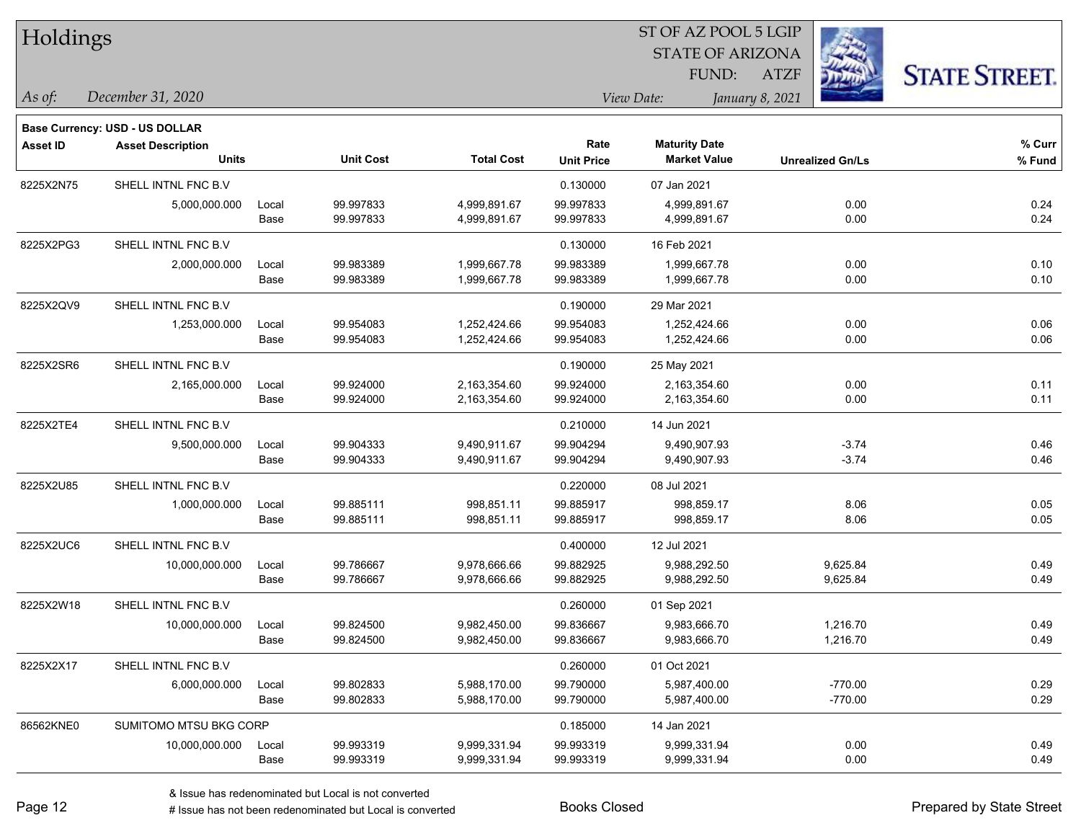| <b>Holdings</b> |                                       |       |                  |                   |                   | 51 OF AZ POOL 5 LGIP<br><b>STATE OF ARIZONA</b> |                         |                      |
|-----------------|---------------------------------------|-------|------------------|-------------------|-------------------|-------------------------------------------------|-------------------------|----------------------|
|                 |                                       |       |                  |                   |                   | FUND:                                           | <b>ATZF</b>             |                      |
|                 |                                       |       |                  |                   |                   |                                                 |                         | <b>STATE STREET.</b> |
| As of:          | December 31, 2020                     |       |                  |                   |                   | View Date:                                      | January 8, 2021         |                      |
|                 | <b>Base Currency: USD - US DOLLAR</b> |       |                  |                   |                   |                                                 |                         |                      |
| <b>Asset ID</b> | <b>Asset Description</b>              |       |                  |                   | Rate              | <b>Maturity Date</b>                            |                         | % Curr               |
|                 | <b>Units</b>                          |       | <b>Unit Cost</b> | <b>Total Cost</b> | <b>Unit Price</b> | <b>Market Value</b>                             | <b>Unrealized Gn/Ls</b> | % Fund               |
| 8225X2N75       | SHELL INTNL FNC B.V                   |       |                  |                   | 0.130000          | 07 Jan 2021                                     |                         |                      |
|                 | 5,000,000.000                         | Local | 99.997833        | 4,999,891.67      | 99.997833         | 4,999,891.67                                    | 0.00                    | 0.24                 |
|                 |                                       | Base  | 99.997833        | 4,999,891.67      | 99.997833         | 4,999,891.67                                    | 0.00                    | 0.24                 |
| 8225X2PG3       | SHELL INTNL FNC B.V                   |       |                  |                   | 0.130000          | 16 Feb 2021                                     |                         |                      |
|                 | 2,000,000.000                         | Local | 99.983389        | 1,999,667.78      | 99.983389         | 1,999,667.78                                    | 0.00                    | 0.10                 |
|                 |                                       | Base  | 99.983389        | 1,999,667.78      | 99.983389         | 1,999,667.78                                    | 0.00                    | 0.10                 |
| 8225X2QV9       | SHELL INTNL FNC B.V                   |       |                  |                   | 0.190000          | 29 Mar 2021                                     |                         |                      |
|                 | 1,253,000.000                         | Local | 99.954083        | 1,252,424.66      | 99.954083         | 1,252,424.66                                    | 0.00                    | 0.06                 |
|                 |                                       | Base  | 99.954083        | 1,252,424.66      | 99.954083         | 1,252,424.66                                    | 0.00                    | 0.06                 |
| 8225X2SR6       | SHELL INTNL FNC B.V                   |       |                  |                   | 0.190000          | 25 May 2021                                     |                         |                      |
|                 | 2,165,000.000                         | Local | 99.924000        | 2,163,354.60      | 99.924000         | 2,163,354.60                                    | 0.00                    | 0.11                 |
|                 |                                       | Base  | 99.924000        | 2,163,354.60      | 99.924000         | 2,163,354.60                                    | 0.00                    | 0.11                 |
| 8225X2TE4       | SHELL INTNL FNC B.V                   |       |                  |                   | 0.210000          | 14 Jun 2021                                     |                         |                      |
|                 | 9,500,000.000                         | Local | 99.904333        | 9,490,911.67      | 99.904294         | 9,490,907.93                                    | $-3.74$                 | 0.46                 |
|                 |                                       | Base  | 99.904333        | 9,490,911.67      | 99.904294         | 9,490,907.93                                    | $-3.74$                 | 0.46                 |
| 8225X2U85       | SHELL INTNL FNC B.V                   |       |                  |                   | 0.220000          | 08 Jul 2021                                     |                         |                      |
|                 | 1,000,000.000                         | Local | 99.885111        | 998,851.11        | 99.885917         | 998,859.17                                      | 8.06                    | 0.05                 |
|                 |                                       | Base  | 99.885111        | 998,851.11        | 99.885917         | 998,859.17                                      | 8.06                    | 0.05                 |
| 8225X2UC6       | SHELL INTNL FNC B.V                   |       |                  |                   | 0.400000          | 12 Jul 2021                                     |                         |                      |
|                 | 10,000,000.000                        | Local | 99.786667        | 9,978,666.66      | 99.882925         | 9,988,292.50                                    | 9,625.84                | 0.49                 |
|                 |                                       | Base  | 99.786667        | 9,978,666.66      | 99.882925         | 9,988,292.50                                    | 9,625.84                | 0.49                 |
| 8225X2W18       | SHELL INTNL FNC B.V                   |       |                  |                   | 0.260000          | 01 Sep 2021                                     |                         |                      |
|                 | 10,000,000.000                        | Local | 99.824500        | 9,982,450.00      | 99.836667         | 9,983,666.70                                    | 1,216.70                | 0.49                 |
|                 |                                       | Base  | 99.824500        | 9,982,450.00      | 99.836667         | 9,983,666.70                                    | 1,216.70                | 0.49                 |
| 8225X2X17       | SHELL INTNL FNC B.V                   |       |                  |                   | 0.260000          | 01 Oct 2021                                     |                         |                      |
|                 | 6,000,000.000                         | Local | 99.802833        | 5,988,170.00      | 99.790000         | 5,987,400.00                                    | $-770.00$               | 0.29                 |
|                 |                                       | Base  | 99.802833        | 5,988,170.00      | 99.790000         | 5,987,400.00                                    | $-770.00$               | 0.29                 |
| 86562KNE0       | SUMITOMO MTSU BKG CORP                |       |                  |                   | 0.185000          | 14 Jan 2021                                     |                         |                      |
|                 | 10,000,000.000                        | Local | 99.993319        | 9,999,331.94      | 99.993319         | 9,999,331.94                                    | 0.00                    | 0.49                 |
|                 |                                       | Base  | 99.993319        | 9,999,331.94      | 99.993319         | 9,999,331.94                                    | 0.00                    | 0.49                 |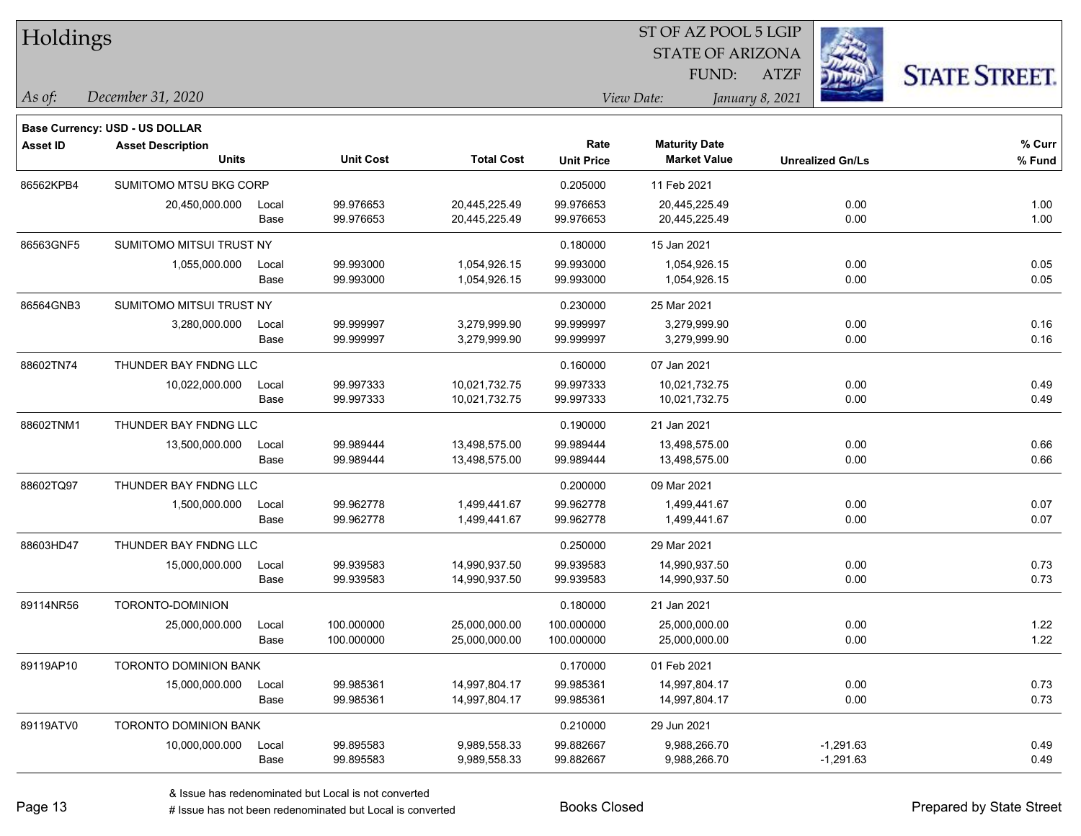| Holdings        |                                       |       |                  |                   |                   | ST OF AZ POOL 5 LGIP    |                         |                      |
|-----------------|---------------------------------------|-------|------------------|-------------------|-------------------|-------------------------|-------------------------|----------------------|
|                 |                                       |       |                  |                   |                   | <b>STATE OF ARIZONA</b> |                         |                      |
|                 |                                       |       |                  |                   |                   | FUND:                   | <b>ATZF</b>             | <b>STATE STREET.</b> |
| As of:          | December 31, 2020                     |       |                  |                   |                   | View Date:              | January 8, 2021         |                      |
|                 | <b>Base Currency: USD - US DOLLAR</b> |       |                  |                   |                   |                         |                         |                      |
| <b>Asset ID</b> | <b>Asset Description</b>              |       |                  |                   | Rate              | <b>Maturity Date</b>    |                         | % Curr               |
|                 | <b>Units</b>                          |       | <b>Unit Cost</b> | <b>Total Cost</b> | <b>Unit Price</b> | <b>Market Value</b>     | <b>Unrealized Gn/Ls</b> | $%$ Fund             |
| 86562KPB4       | SUMITOMO MTSU BKG CORP                |       |                  |                   | 0.205000          | 11 Feb 2021             |                         |                      |
|                 | 20,450,000.000                        | Local | 99.976653        | 20,445,225.49     | 99.976653         | 20,445,225.49           | 0.00                    | 1.00                 |
|                 |                                       | Base  | 99.976653        | 20,445,225.49     | 99.976653         | 20,445,225.49           | 0.00                    | 1.00                 |
| 86563GNF5       | SUMITOMO MITSUI TRUST NY              |       |                  |                   | 0.180000          | 15 Jan 2021             |                         |                      |
|                 | 1,055,000.000                         | Local | 99.993000        | 1,054,926.15      | 99.993000         | 1,054,926.15            | 0.00                    | 0.05                 |
|                 |                                       | Base  | 99.993000        | 1,054,926.15      | 99.993000         | 1,054,926.15            | 0.00                    | 0.05                 |
| 86564GNB3       | SUMITOMO MITSUI TRUST NY              |       |                  |                   | 0.230000          | 25 Mar 2021             |                         |                      |
|                 | 3,280,000.000                         | Local | 99.999997        | 3,279,999.90      | 99.999997         | 3,279,999.90            | 0.00                    | 0.16                 |
|                 |                                       | Base  | 99.999997        | 3,279,999.90      | 99.999997         | 3,279,999.90            | 0.00                    | 0.16                 |
| 88602TN74       | THUNDER BAY FNDNG LLC                 |       |                  |                   | 0.160000          | 07 Jan 2021             |                         |                      |
|                 | 10,022,000.000                        | Local | 99.997333        | 10,021,732.75     | 99.997333         | 10,021,732.75           | 0.00                    | 0.49                 |
|                 |                                       | Base  | 99.997333        | 10,021,732.75     | 99.997333         | 10,021,732.75           | 0.00                    | 0.49                 |
| 88602TNM1       | THUNDER BAY FNDNG LLC                 |       |                  |                   | 0.190000          | 21 Jan 2021             |                         |                      |
|                 | 13,500,000.000                        | Local | 99.989444        | 13,498,575.00     | 99.989444         | 13,498,575.00           | 0.00                    | 0.66                 |
|                 |                                       | Base  | 99.989444        | 13,498,575.00     | 99.989444         | 13,498,575.00           | 0.00                    | 0.66                 |
| 88602TQ97       | THUNDER BAY FNDNG LLC                 |       |                  |                   | 0.200000          | 09 Mar 2021             |                         |                      |
|                 | 1,500,000.000                         | Local | 99.962778        | 1,499,441.67      | 99.962778         | 1,499,441.67            | 0.00                    | 0.07                 |
|                 |                                       | Base  | 99.962778        | 1,499,441.67      | 99.962778         | 1,499,441.67            | 0.00                    | 0.07                 |
| 88603HD47       | THUNDER BAY FNDNG LLC                 |       |                  |                   | 0.250000          | 29 Mar 2021             |                         |                      |
|                 | 15,000,000.000                        | Local | 99.939583        | 14,990,937.50     | 99.939583         | 14,990,937.50           | 0.00                    | 0.73                 |
|                 |                                       | Base  | 99.939583        | 14,990,937.50     | 99.939583         | 14,990,937.50           | 0.00                    | 0.73                 |
| 89114NR56       | TORONTO-DOMINION                      |       |                  |                   | 0.180000          | 21 Jan 2021             |                         |                      |
|                 | 25,000,000.000                        | Local | 100.000000       | 25,000,000.00     | 100.000000        | 25,000,000.00           | 0.00                    | 1.22                 |
|                 |                                       | Base  | 100.000000       | 25,000,000.00     | 100.000000        | 25,000,000.00           | 0.00                    | 1.22                 |
| 89119AP10       | <b>TORONTO DOMINION BANK</b>          |       |                  |                   | 0.170000          | 01 Feb 2021             |                         |                      |
|                 | 15,000,000.000                        | Local | 99.985361        | 14,997,804.17     | 99.985361         | 14,997,804.17           | 0.00                    | 0.73                 |
|                 |                                       | Base  | 99.985361        | 14,997,804.17     | 99.985361         | 14,997,804.17           | 0.00                    | 0.73                 |
| 89119ATV0       | TORONTO DOMINION BANK                 |       |                  |                   | 0.210000          | 29 Jun 2021             |                         |                      |
|                 | 10,000,000.000                        | Local | 99.895583        | 9,989,558.33      | 99.882667         | 9,988,266.70            | $-1,291.63$             | 0.49                 |
|                 |                                       | Base  | 99.895583        | 9,989,558.33      | 99.882667         | 9,988,266.70            | $-1,291.63$             | 0.49                 |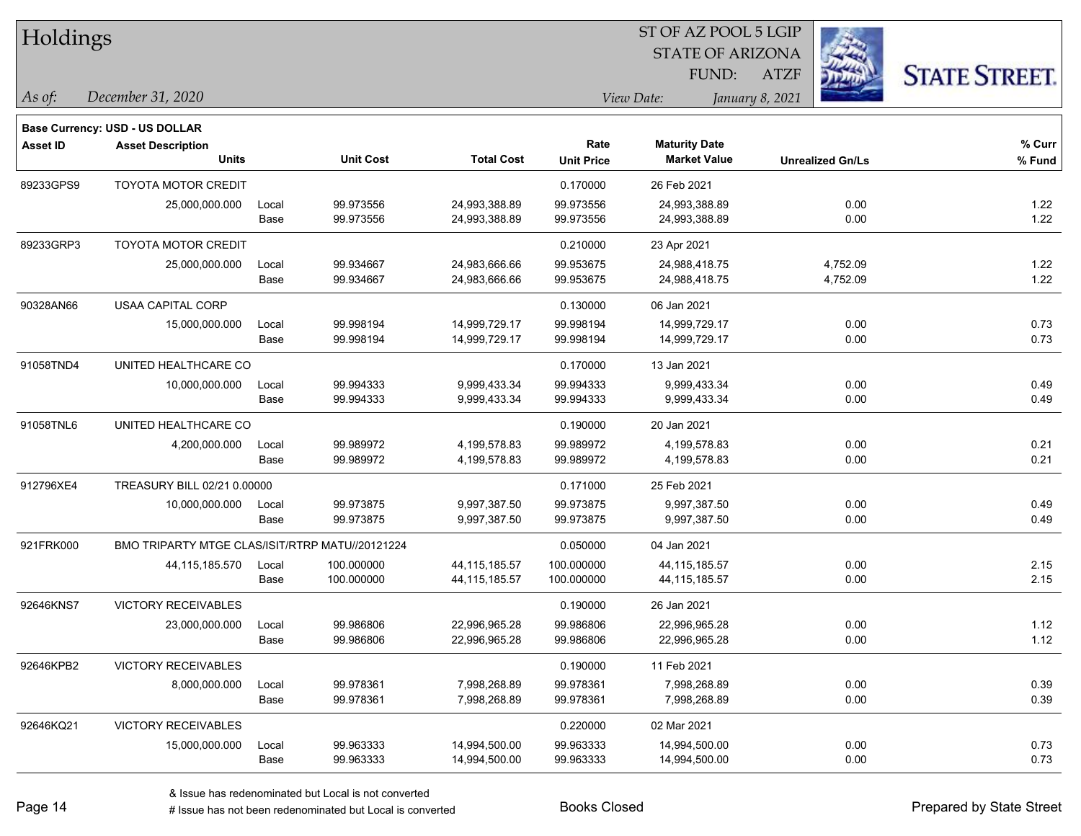| Holdings        |                                                 |       |                  |                   |                   | ST OF AZ POOL 5 LGIP    |                 |                         |                      |
|-----------------|-------------------------------------------------|-------|------------------|-------------------|-------------------|-------------------------|-----------------|-------------------------|----------------------|
|                 |                                                 |       |                  |                   |                   | <b>STATE OF ARIZONA</b> |                 |                         |                      |
|                 |                                                 |       |                  |                   |                   | FUND:                   | <b>ATZF</b>     |                         | <b>STATE STREET.</b> |
| As of:          | December 31, 2020                               |       |                  |                   |                   | View Date:              | January 8, 2021 |                         |                      |
|                 | <b>Base Currency: USD - US DOLLAR</b>           |       |                  |                   |                   |                         |                 |                         |                      |
| <b>Asset ID</b> | <b>Asset Description</b>                        |       |                  |                   | Rate              | <b>Maturity Date</b>    |                 |                         | % Curr               |
|                 | <b>Units</b>                                    |       | <b>Unit Cost</b> | <b>Total Cost</b> | <b>Unit Price</b> | <b>Market Value</b>     |                 | <b>Unrealized Gn/Ls</b> | % Fund               |
| 89233GPS9       | TOYOTA MOTOR CREDIT                             |       |                  |                   | 0.170000          | 26 Feb 2021             |                 |                         |                      |
|                 | 25,000,000.000                                  | Local | 99.973556        | 24,993,388.89     | 99.973556         | 24,993,388.89           |                 | 0.00                    | 1.22                 |
|                 |                                                 | Base  | 99.973556        | 24,993,388.89     | 99.973556         | 24,993,388.89           |                 | 0.00                    | 1.22                 |
| 89233GRP3       | <b>TOYOTA MOTOR CREDIT</b>                      |       |                  |                   | 0.210000          | 23 Apr 2021             |                 |                         |                      |
|                 | 25,000,000.000                                  | Local | 99.934667        | 24,983,666.66     | 99.953675         | 24,988,418.75           |                 | 4,752.09                | 1.22                 |
|                 |                                                 | Base  | 99.934667        | 24,983,666.66     | 99.953675         | 24,988,418.75           |                 | 4,752.09                | 1.22                 |
| 90328AN66       | <b>USAA CAPITAL CORP</b>                        |       |                  |                   | 0.130000          | 06 Jan 2021             |                 |                         |                      |
|                 | 15,000,000.000                                  | Local | 99.998194        | 14,999,729.17     | 99.998194         | 14,999,729.17           |                 | 0.00                    | 0.73                 |
|                 |                                                 | Base  | 99.998194        | 14,999,729.17     | 99.998194         | 14,999,729.17           |                 | 0.00                    | 0.73                 |
| 91058TND4       | UNITED HEALTHCARE CO                            |       |                  |                   | 0.170000          | 13 Jan 2021             |                 |                         |                      |
|                 | 10,000,000.000                                  | Local | 99.994333        | 9,999,433.34      | 99.994333         | 9,999,433.34            |                 | 0.00                    | 0.49                 |
|                 |                                                 | Base  | 99.994333        | 9,999,433.34      | 99.994333         | 9,999,433.34            |                 | 0.00                    | 0.49                 |
| 91058TNL6       | UNITED HEALTHCARE CO                            |       |                  |                   | 0.190000          | 20 Jan 2021             |                 |                         |                      |
|                 | 4,200,000.000                                   | Local | 99.989972        | 4,199,578.83      | 99.989972         | 4,199,578.83            |                 | 0.00                    | 0.21                 |
|                 |                                                 | Base  | 99.989972        | 4,199,578.83      | 99.989972         | 4,199,578.83            |                 | 0.00                    | 0.21                 |
| 912796XE4       | TREASURY BILL 02/21 0.00000                     |       |                  |                   | 0.171000          | 25 Feb 2021             |                 |                         |                      |
|                 | 10,000,000.000                                  | Local | 99.973875        | 9,997,387.50      | 99.973875         | 9,997,387.50            |                 | 0.00                    | 0.49                 |
|                 |                                                 | Base  | 99.973875        | 9,997,387.50      | 99.973875         | 9,997,387.50            |                 | 0.00                    | 0.49                 |
| 921FRK000       | BMO TRIPARTY MTGE CLAS/ISIT/RTRP MATU//20121224 |       |                  |                   | 0.050000          | 04 Jan 2021             |                 |                         |                      |
|                 | 44, 115, 185. 570                               | Local | 100.000000       | 44, 115, 185.57   | 100.000000        | 44,115,185.57           |                 | 0.00                    | 2.15                 |
|                 |                                                 | Base  | 100.000000       | 44, 115, 185.57   | 100.000000        | 44,115,185.57           |                 | 0.00                    | 2.15                 |
| 92646KNS7       | VICTORY RECEIVABLES                             |       |                  |                   | 0.190000          | 26 Jan 2021             |                 |                         |                      |
|                 | 23,000,000.000                                  | Local | 99.986806        | 22,996,965.28     | 99.986806         | 22,996,965.28           |                 | 0.00                    | 1.12                 |
|                 |                                                 | Base  | 99.986806        | 22,996,965.28     | 99.986806         | 22,996,965.28           |                 | 0.00                    | 1.12                 |
| 92646KPB2       | <b>VICTORY RECEIVABLES</b>                      |       |                  |                   | 0.190000          | 11 Feb 2021             |                 |                         |                      |
|                 | 8,000,000.000                                   | Local | 99.978361        | 7,998,268.89      | 99.978361         | 7,998,268.89            |                 | 0.00                    | 0.39                 |
|                 |                                                 | Base  | 99.978361        | 7,998,268.89      | 99.978361         | 7,998,268.89            |                 | 0.00                    | 0.39                 |
| 92646KQ21       | <b>VICTORY RECEIVABLES</b>                      |       |                  |                   | 0.220000          | 02 Mar 2021             |                 |                         |                      |
|                 | 15,000,000.000                                  | Local | 99.963333        | 14,994,500.00     | 99.963333         | 14,994,500.00           |                 | 0.00                    | 0.73                 |
|                 |                                                 | Base  | 99.963333        | 14,994,500.00     | 99.963333         | 14,994,500.00           |                 | 0.00                    | 0.73                 |

denote the redenominated but Local is converted Books Closed Prepared by State Street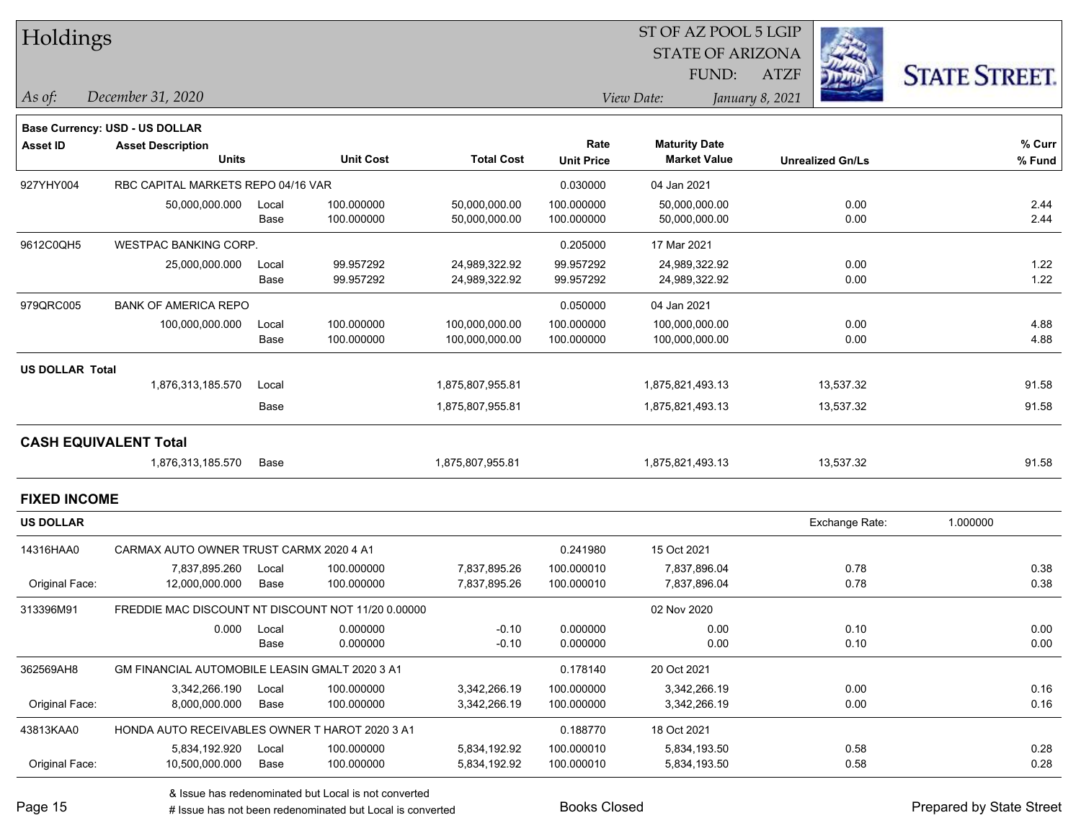| Holdings               |                                                    |       |                  |                   |                   | ST OF AZ POOL 5 LGIP    |                         |                      |
|------------------------|----------------------------------------------------|-------|------------------|-------------------|-------------------|-------------------------|-------------------------|----------------------|
|                        |                                                    |       |                  |                   |                   | <b>STATE OF ARIZONA</b> |                         |                      |
|                        |                                                    |       |                  |                   |                   | FUND:                   | <b>ATZF</b>             | <b>STATE STREET.</b> |
| $\vert$ As of:         | December 31, 2020                                  |       |                  |                   |                   | View Date:              | January 8, 2021         |                      |
|                        | <b>Base Currency: USD - US DOLLAR</b>              |       |                  |                   |                   |                         |                         |                      |
| <b>Asset ID</b>        | <b>Asset Description</b>                           |       |                  |                   | Rate              | <b>Maturity Date</b>    |                         | % Curr               |
|                        | <b>Units</b>                                       |       | <b>Unit Cost</b> | <b>Total Cost</b> | <b>Unit Price</b> | <b>Market Value</b>     | <b>Unrealized Gn/Ls</b> | % Fund               |
| 927YHY004              | RBC CAPITAL MARKETS REPO 04/16 VAR                 |       |                  |                   | 0.030000          | 04 Jan 2021             |                         |                      |
|                        | 50,000,000.000                                     | Local | 100.000000       | 50,000,000.00     | 100.000000        | 50,000,000.00           | 0.00                    | 2.44                 |
|                        |                                                    | Base  | 100.000000       | 50,000,000.00     | 100.000000        | 50,000,000.00           | 0.00                    | 2.44                 |
| 9612C0QH5              | <b>WESTPAC BANKING CORP.</b>                       |       |                  |                   | 0.205000          | 17 Mar 2021             |                         |                      |
|                        | 25,000,000.000                                     | Local | 99.957292        | 24,989,322.92     | 99.957292         | 24,989,322.92           | 0.00                    | 1.22                 |
|                        |                                                    | Base  | 99.957292        | 24,989,322.92     | 99.957292         | 24,989,322.92           | 0.00                    | 1.22                 |
| 979QRC005              | <b>BANK OF AMERICA REPO</b>                        |       |                  |                   | 0.050000          | 04 Jan 2021             |                         |                      |
|                        | 100,000,000.000                                    | Local | 100.000000       | 100,000,000.00    | 100.000000        | 100,000,000.00          | 0.00                    | 4.88                 |
|                        |                                                    | Base  | 100.000000       | 100,000,000.00    | 100.000000        | 100,000,000.00          | 0.00                    | 4.88                 |
| <b>US DOLLAR Total</b> |                                                    |       |                  |                   |                   |                         |                         |                      |
|                        | 1,876,313,185.570                                  | Local |                  | 1,875,807,955.81  |                   | 1,875,821,493.13        | 13,537.32               | 91.58                |
|                        |                                                    | Base  |                  | 1,875,807,955.81  |                   | 1,875,821,493.13        | 13,537.32               | 91.58                |
|                        | <b>CASH EQUIVALENT Total</b>                       |       |                  |                   |                   |                         |                         |                      |
|                        | 1,876,313,185.570                                  | Base  |                  | 1,875,807,955.81  |                   | 1,875,821,493.13        | 13,537.32               | 91.58                |
| <b>FIXED INCOME</b>    |                                                    |       |                  |                   |                   |                         |                         |                      |
| <b>US DOLLAR</b>       |                                                    |       |                  |                   |                   |                         | Exchange Rate:          | 1.000000             |
| 14316HAA0              | CARMAX AUTO OWNER TRUST CARMX 2020 4 A1            |       |                  |                   | 0.241980          | 15 Oct 2021             |                         |                      |
|                        | 7,837,895.260                                      | Local | 100.000000       | 7,837,895.26      | 100.000010        | 7,837,896.04            | 0.78                    | 0.38                 |
| Original Face:         | 12,000,000.000                                     | Base  | 100.000000       | 7,837,895.26      | 100.000010        | 7,837,896.04            | 0.78                    | 0.38                 |
| 313396M91              | FREDDIE MAC DISCOUNT NT DISCOUNT NOT 11/20 0.00000 |       |                  |                   |                   | 02 Nov 2020             |                         |                      |
|                        | 0.000                                              | Local | 0.000000         | $-0.10$           | 0.000000          | 0.00                    | 0.10                    | 0.00                 |
|                        |                                                    | Base  | 0.000000         | $-0.10$           | 0.000000          | 0.00                    | 0.10                    | 0.00                 |
| 362569AH8              | GM FINANCIAL AUTOMOBILE LEASIN GMALT 2020 3 A1     |       |                  |                   | 0.178140          | 20 Oct 2021             |                         |                      |
|                        | 3,342,266.190                                      | Local | 100.000000       | 3,342,266.19      | 100.000000        | 3,342,266.19            | 0.00                    | 0.16                 |
| Original Face:         | 8,000,000.000                                      | Base  | 100.000000       | 3,342,266.19      | 100.000000        | 3,342,266.19            | 0.00                    | 0.16                 |
| 43813KAA0              | HONDA AUTO RECEIVABLES OWNER T HAROT 2020 3 A1     |       |                  |                   | 0.188770          | 18 Oct 2021             |                         |                      |
|                        | 5,834,192.920                                      | Local | 100.000000       | 5,834,192.92      | 100.000010        | 5,834,193.50            | 0.58                    | 0.28                 |
| Original Face:         | 10,500,000.000                                     | Base  | 100.000000       | 5,834,192.92      | 100.000010        | 5,834,193.50            | 0.58                    | 0.28                 |

& Issue has redenominated but Local is not converted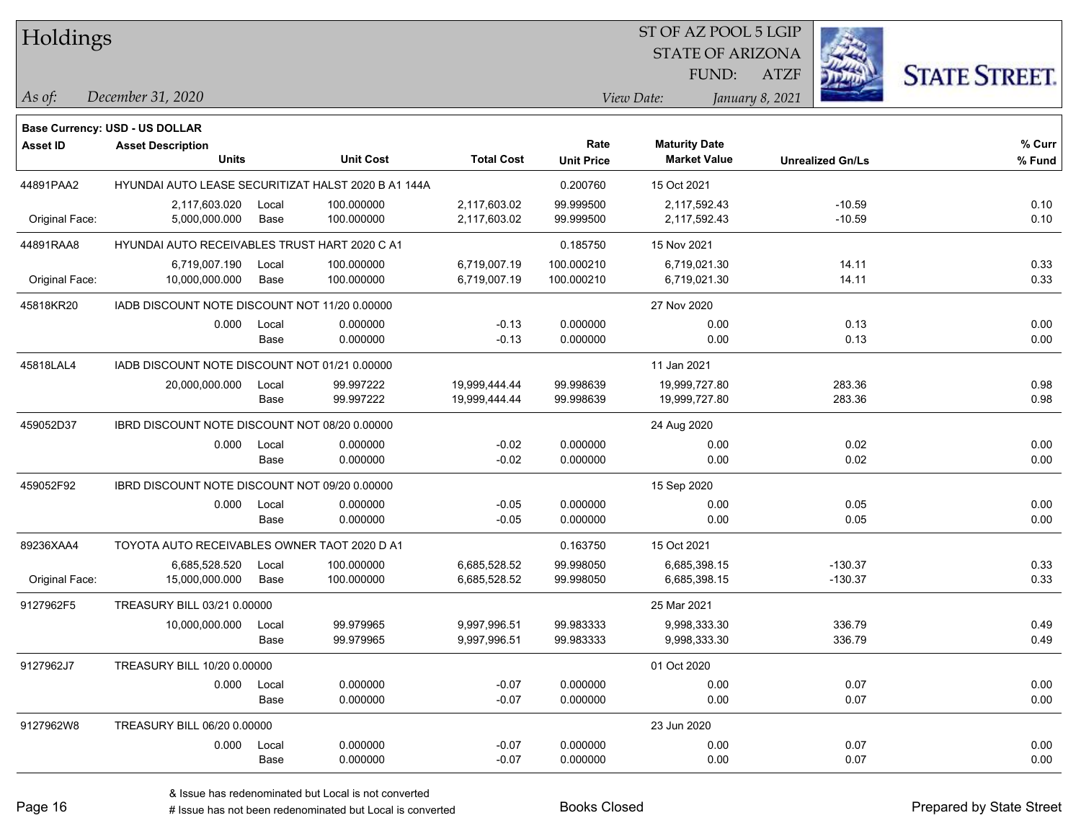| Holdings        |                                                                   |       |                                                     |                   |                   | ST OF AZ POOL 5 LGIP    |                 |                         |                      |
|-----------------|-------------------------------------------------------------------|-------|-----------------------------------------------------|-------------------|-------------------|-------------------------|-----------------|-------------------------|----------------------|
|                 |                                                                   |       |                                                     |                   |                   | <b>STATE OF ARIZONA</b> |                 |                         |                      |
|                 |                                                                   |       |                                                     |                   |                   | FUND:                   | <b>ATZF</b>     |                         | <b>STATE STREET.</b> |
| As of:          | December 31, 2020                                                 |       |                                                     |                   |                   | View Date:              | January 8, 2021 |                         |                      |
|                 |                                                                   |       |                                                     |                   |                   |                         |                 |                         |                      |
| <b>Asset ID</b> | <b>Base Currency: USD - US DOLLAR</b><br><b>Asset Description</b> |       |                                                     |                   | Rate              | <b>Maturity Date</b>    |                 |                         | % Curr               |
|                 | <b>Units</b>                                                      |       | <b>Unit Cost</b>                                    | <b>Total Cost</b> | <b>Unit Price</b> | <b>Market Value</b>     |                 | <b>Unrealized Gn/Ls</b> | % Fund               |
| 44891PAA2       |                                                                   |       | HYUNDAI AUTO LEASE SECURITIZAT HALST 2020 B A1 144A |                   | 0.200760          | 15 Oct 2021             |                 |                         |                      |
|                 | 2,117,603.020                                                     | Local | 100.000000                                          | 2,117,603.02      | 99.999500         | 2,117,592.43            |                 | $-10.59$                | 0.10                 |
| Original Face:  | 5,000,000.000                                                     | Base  | 100.000000                                          | 2,117,603.02      | 99.999500         | 2,117,592.43            |                 | $-10.59$                | 0.10                 |
| 44891RAA8       | HYUNDAI AUTO RECEIVABLES TRUST HART 2020 C A1                     |       |                                                     |                   | 0.185750          | 15 Nov 2021             |                 |                         |                      |
|                 | 6,719,007.190                                                     | Local | 100.000000                                          | 6,719,007.19      | 100.000210        | 6,719,021.30            |                 | 14.11                   | 0.33                 |
| Original Face:  | 10,000,000.000                                                    | Base  | 100.000000                                          | 6,719,007.19      | 100.000210        | 6,719,021.30            |                 | 14.11                   | 0.33                 |
| 45818KR20       | IADB DISCOUNT NOTE DISCOUNT NOT 11/20 0.00000                     |       |                                                     |                   |                   | 27 Nov 2020             |                 |                         |                      |
|                 | 0.000                                                             | Local | 0.000000                                            | $-0.13$           | 0.000000          | 0.00                    |                 | 0.13                    | 0.00                 |
|                 |                                                                   | Base  | 0.000000                                            | $-0.13$           | 0.000000          | 0.00                    |                 | 0.13                    | 0.00                 |
| 45818LAL4       | IADB DISCOUNT NOTE DISCOUNT NOT 01/21 0.00000                     |       |                                                     |                   |                   | 11 Jan 2021             |                 |                         |                      |
|                 | 20,000,000.000                                                    | Local | 99.997222                                           | 19,999,444.44     | 99.998639         | 19,999,727.80           |                 | 283.36                  | 0.98                 |
|                 |                                                                   | Base  | 99.997222                                           | 19,999,444.44     | 99.998639         | 19,999,727.80           |                 | 283.36                  | 0.98                 |
| 459052D37       | IBRD DISCOUNT NOTE DISCOUNT NOT 08/20 0.00000                     |       |                                                     |                   |                   | 24 Aug 2020             |                 |                         |                      |
|                 | 0.000                                                             | Local | 0.000000                                            | $-0.02$           | 0.000000          | 0.00                    |                 | 0.02                    | 0.00                 |
|                 |                                                                   | Base  | 0.000000                                            | $-0.02$           | 0.000000          | 0.00                    |                 | 0.02                    | 0.00                 |
| 459052F92       | IBRD DISCOUNT NOTE DISCOUNT NOT 09/20 0.00000                     |       |                                                     |                   |                   | 15 Sep 2020             |                 |                         |                      |
|                 | 0.000                                                             | Local | 0.000000                                            | $-0.05$           | 0.000000          | 0.00                    |                 | 0.05                    | 0.00                 |
|                 |                                                                   | Base  | 0.000000                                            | $-0.05$           | 0.000000          | 0.00                    |                 | 0.05                    | 0.00                 |
| 89236XAA4       | TOYOTA AUTO RECEIVABLES OWNER TAOT 2020 D A1                      |       |                                                     |                   | 0.163750          | 15 Oct 2021             |                 |                         |                      |
|                 | 6,685,528.520                                                     | Local | 100.000000                                          | 6,685,528.52      | 99.998050         | 6,685,398.15            |                 | $-130.37$               | 0.33                 |
| Original Face:  | 15,000,000.000                                                    | Base  | 100.000000                                          | 6,685,528.52      | 99.998050         | 6,685,398.15            |                 | $-130.37$               | 0.33                 |
| 9127962F5       | TREASURY BILL 03/21 0.00000                                       |       |                                                     |                   |                   | 25 Mar 2021             |                 |                         |                      |
|                 | 10,000,000.000                                                    | Local | 99.979965                                           | 9,997,996.51      | 99.983333         | 9,998,333.30            |                 | 336.79                  | 0.49                 |
|                 |                                                                   | Base  | 99.979965                                           | 9,997,996.51      | 99.983333         | 9,998,333.30            |                 | 336.79                  | 0.49                 |
| 9127962J7       | TREASURY BILL 10/20 0.00000                                       |       |                                                     |                   |                   | 01 Oct 2020             |                 |                         |                      |
|                 | 0.000                                                             | Local | 0.000000                                            | $-0.07$           | 0.000000          | 0.00                    |                 | 0.07                    | 0.00                 |
|                 |                                                                   | Base  | 0.000000                                            | $-0.07$           | 0.000000          | 0.00                    |                 | 0.07                    | 0.00                 |
| 9127962W8       | TREASURY BILL 06/20 0.00000                                       |       |                                                     |                   |                   | 23 Jun 2020             |                 |                         |                      |
|                 | 0.000                                                             | Local | 0.000000                                            | $-0.07$           | 0.000000          | 0.00                    |                 | 0.07                    | 0.00                 |
|                 |                                                                   | Base  | 0.000000                                            | $-0.07$           | 0.000000          | 0.00                    |                 | 0.07                    | 0.00                 |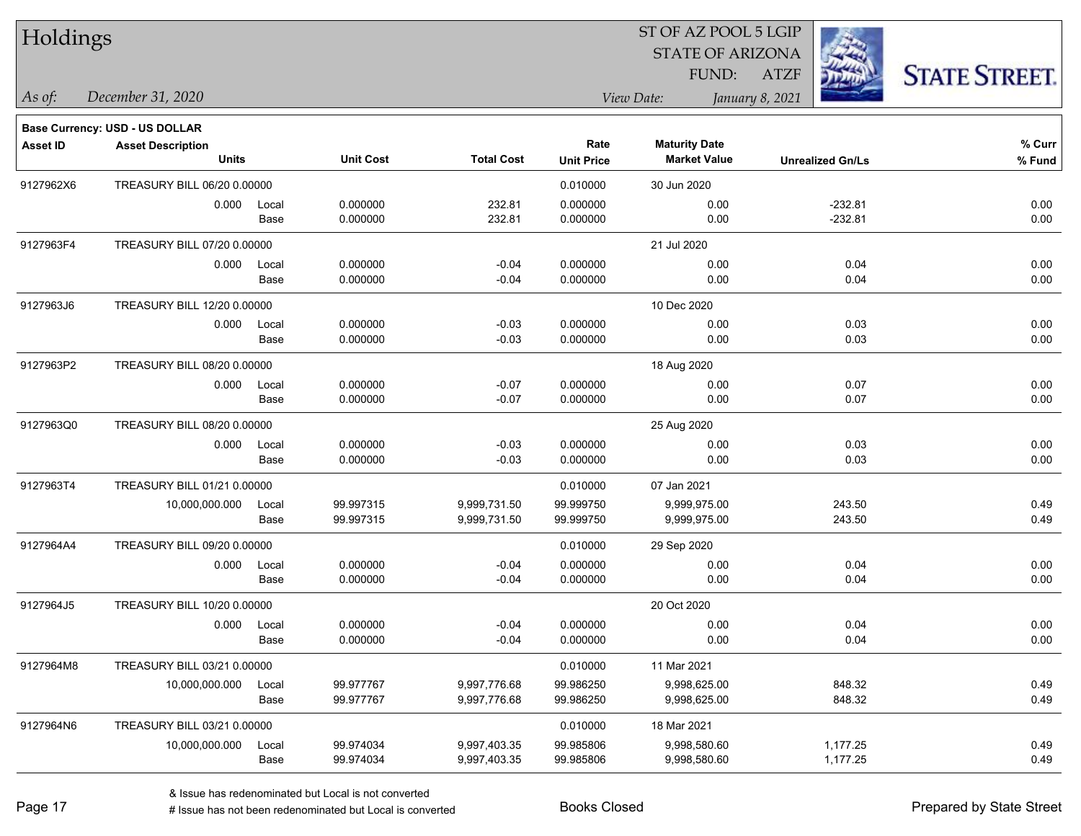| Holdings        |                                       |       |                  |                   |                   | 51 OF AZ POOL 5 LGIP    |                         |                      |
|-----------------|---------------------------------------|-------|------------------|-------------------|-------------------|-------------------------|-------------------------|----------------------|
|                 |                                       |       |                  |                   |                   | <b>STATE OF ARIZONA</b> |                         |                      |
|                 |                                       |       |                  |                   |                   | FUND:                   | <b>ATZF</b>             | <b>STATE STREET.</b> |
| As of:          | December 31, 2020                     |       |                  |                   |                   | View Date:              | January 8, 2021         |                      |
|                 | <b>Base Currency: USD - US DOLLAR</b> |       |                  |                   |                   |                         |                         |                      |
| <b>Asset ID</b> | <b>Asset Description</b>              |       |                  |                   | Rate              | <b>Maturity Date</b>    |                         | % Curr               |
|                 | <b>Units</b>                          |       | <b>Unit Cost</b> | <b>Total Cost</b> | <b>Unit Price</b> | <b>Market Value</b>     | <b>Unrealized Gn/Ls</b> | % Fund               |
| 9127962X6       | TREASURY BILL 06/20 0.00000           |       |                  |                   | 0.010000          | 30 Jun 2020             |                         |                      |
|                 | 0.000                                 | Local | 0.000000         | 232.81            | 0.000000          | 0.00                    | $-232.81$               | 0.00                 |
|                 |                                       | Base  | 0.000000         | 232.81            | 0.000000          | 0.00                    | $-232.81$               | 0.00                 |
| 9127963F4       | TREASURY BILL 07/20 0.00000           |       |                  |                   |                   | 21 Jul 2020             |                         |                      |
|                 | 0.000                                 | Local | 0.000000         | $-0.04$           | 0.000000          | 0.00                    | 0.04                    | 0.00                 |
|                 |                                       | Base  | 0.000000         | $-0.04$           | 0.000000          | 0.00                    | 0.04                    | 0.00                 |
| 9127963J6       | TREASURY BILL 12/20 0.00000           |       |                  |                   |                   | 10 Dec 2020             |                         |                      |
|                 | 0.000                                 | Local | 0.000000         | $-0.03$           | 0.000000          | 0.00                    | 0.03                    | 0.00                 |
|                 |                                       | Base  | 0.000000         | $-0.03$           | 0.000000          | 0.00                    | 0.03                    | 0.00                 |
| 9127963P2       | TREASURY BILL 08/20 0.00000           |       |                  |                   |                   | 18 Aug 2020             |                         |                      |
|                 | 0.000                                 | Local | 0.000000         | $-0.07$           | 0.000000          | 0.00                    | 0.07                    | 0.00                 |
|                 |                                       | Base  | 0.000000         | $-0.07$           | 0.000000          | 0.00                    | 0.07                    | 0.00                 |
| 9127963Q0       | TREASURY BILL 08/20 0.00000           |       |                  |                   |                   | 25 Aug 2020             |                         |                      |
|                 | 0.000                                 | Local | 0.000000         | $-0.03$           | 0.000000          | 0.00                    | 0.03                    | 0.00                 |
|                 |                                       | Base  | 0.000000         | $-0.03$           | 0.000000          | 0.00                    | 0.03                    | 0.00                 |
| 9127963T4       | TREASURY BILL 01/21 0.00000           |       |                  |                   | 0.010000          | 07 Jan 2021             |                         |                      |
|                 | 10,000,000.000                        | Local | 99.997315        | 9,999,731.50      | 99.999750         | 9,999,975.00            | 243.50                  | 0.49                 |
|                 |                                       | Base  | 99.997315        | 9,999,731.50      | 99.999750         | 9,999,975.00            | 243.50                  | 0.49                 |
| 9127964A4       | TREASURY BILL 09/20 0.00000           |       |                  |                   | 0.010000          | 29 Sep 2020             |                         |                      |
|                 | 0.000                                 | Local | 0.000000         | $-0.04$           | 0.000000          | 0.00                    | 0.04                    | 0.00                 |
|                 |                                       | Base  | 0.000000         | $-0.04$           | 0.000000          | 0.00                    | 0.04                    | 0.00                 |
| 9127964J5       | TREASURY BILL 10/20 0.00000           |       |                  |                   |                   | 20 Oct 2020             |                         |                      |
|                 | 0.000                                 | Local | 0.000000         | $-0.04$           | 0.000000          | 0.00                    | 0.04                    | 0.00                 |
|                 |                                       | Base  | 0.000000         | $-0.04$           | 0.000000          | 0.00                    | 0.04                    | 0.00                 |
| 9127964M8       | TREASURY BILL 03/21 0.00000           |       |                  |                   | 0.010000          | 11 Mar 2021             |                         |                      |
|                 | 10,000,000.000                        | Local | 99.977767        | 9,997,776.68      | 99.986250         | 9,998,625.00            | 848.32                  | 0.49                 |
|                 |                                       | Base  | 99.977767        | 9,997,776.68      | 99.986250         | 9,998,625.00            | 848.32                  | 0.49                 |
| 9127964N6       | TREASURY BILL 03/21 0.00000           |       |                  |                   | 0.010000          | 18 Mar 2021             |                         |                      |
|                 | 10,000,000.000                        | Local | 99.974034        | 9,997,403.35      | 99.985806         | 9,998,580.60            | 1,177.25                | 0.49                 |
|                 |                                       | Base  | 99.974034        | 9,997,403.35      | 99.985806         | 9,998,580.60            | 1,177.25                | 0.49                 |

 $\overline{S}$   $\overline{S}$   $\overline{S}$   $\overline{S}$   $\overline{S}$   $\overline{S}$   $\overline{S}$   $\overline{S}$   $\overline{S}$   $\overline{S}$   $\overline{S}$   $\overline{S}$   $\overline{S}$   $\overline{S}$   $\overline{S}$   $\overline{S}$   $\overline{S}$   $\overline{S}$   $\overline{S}$   $\overline{S}$   $\overline{S}$   $\overline{S}$   $\overline{S}$   $\overline{S}$   $\overline{$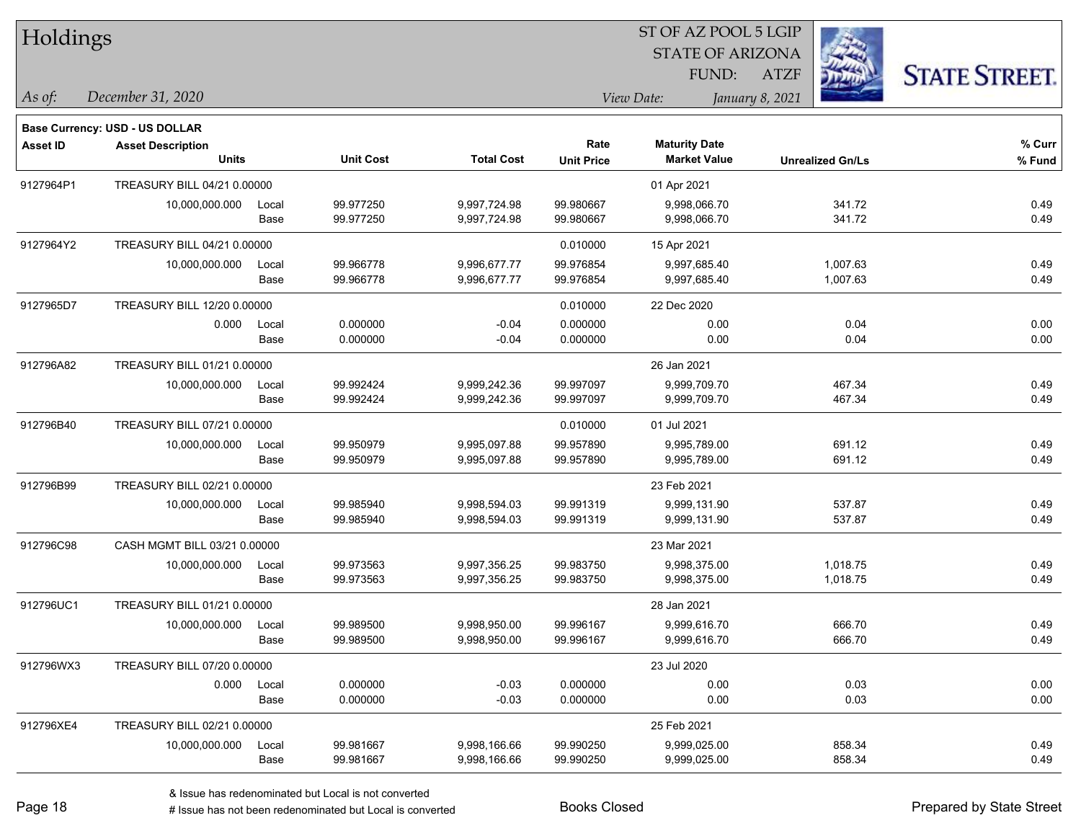| Holdings        |                                                                                   |                     |                        |                              |                           | 51 OF AZ POOL 5 LGIP<br><b>STATE OF ARIZONA</b><br>FUND: | <b>ATZF</b>             | <b>STATE STREET.</b> |
|-----------------|-----------------------------------------------------------------------------------|---------------------|------------------------|------------------------------|---------------------------|----------------------------------------------------------|-------------------------|----------------------|
| As of:          | December 31, 2020                                                                 |                     |                        |                              |                           | View Date:<br>January 8, 2021                            |                         |                      |
| <b>Asset ID</b> | <b>Base Currency: USD - US DOLLAR</b><br><b>Asset Description</b><br><b>Units</b> |                     | <b>Unit Cost</b>       | <b>Total Cost</b>            | Rate<br><b>Unit Price</b> | <b>Maturity Date</b><br><b>Market Value</b>              | <b>Unrealized Gn/Ls</b> | % Curr<br>% Fund     |
| 9127964P1       | TREASURY BILL 04/21 0.00000                                                       |                     |                        |                              |                           | 01 Apr 2021                                              |                         |                      |
|                 | 10,000,000.000                                                                    | Local<br>Base       | 99.977250<br>99.977250 | 9,997,724.98<br>9,997,724.98 | 99.980667<br>99.980667    | 9,998,066.70<br>9,998,066.70                             | 341.72<br>341.72        | 0.49<br>0.49         |
| 9127964Y2       | TREASURY BILL 04/21 0.00000                                                       |                     |                        |                              | 0.010000                  | 15 Apr 2021                                              |                         |                      |
|                 | 10,000,000.000                                                                    | Local<br>Base       | 99.966778<br>99.966778 | 9,996,677.77<br>9,996,677.77 | 99.976854<br>99.976854    | 9,997,685.40<br>9,997,685.40                             | 1,007.63<br>1,007.63    | 0.49<br>0.49         |
| 9127965D7       | TREASURY BILL 12/20 0.00000                                                       |                     |                        |                              | 0.010000                  | 22 Dec 2020                                              |                         |                      |
|                 | 0.000                                                                             | Local<br>Base       | 0.000000<br>0.000000   | $-0.04$<br>$-0.04$           | 0.000000<br>0.000000      | 0.00<br>0.00                                             | 0.04<br>0.04            | 0.00<br>0.00         |
| 912796A82       | TREASURY BILL 01/21 0.00000                                                       |                     |                        |                              |                           | 26 Jan 2021                                              |                         |                      |
|                 | 10,000,000.000                                                                    | Local<br>Base       | 99.992424<br>99.992424 | 9,999,242.36<br>9,999,242.36 | 99.997097<br>99.997097    | 9,999,709.70<br>9,999,709.70                             | 467.34<br>467.34        | 0.49<br>0.49         |
| 912796B40       | TREASURY BILL 07/21 0.00000                                                       |                     |                        |                              | 0.010000                  | 01 Jul 2021                                              |                         |                      |
|                 | 10,000,000.000                                                                    | Local<br>Base       | 99.950979<br>99.950979 | 9,995,097.88<br>9,995,097.88 | 99.957890<br>99.957890    | 9,995,789.00<br>9,995,789.00                             | 691.12<br>691.12        | 0.49<br>0.49         |
| 912796B99       | TREASURY BILL 02/21 0.00000                                                       |                     |                        |                              |                           | 23 Feb 2021                                              |                         |                      |
|                 | 10,000,000.000                                                                    | Local<br>Base       | 99.985940<br>99.985940 | 9,998,594.03<br>9,998,594.03 | 99.991319<br>99.991319    | 9,999,131.90<br>9,999,131.90                             | 537.87<br>537.87        | 0.49<br>0.49         |
| 912796C98       | CASH MGMT BILL 03/21 0.00000                                                      |                     |                        |                              |                           | 23 Mar 2021                                              |                         |                      |
|                 | 10,000,000.000                                                                    | Local<br>Base       | 99.973563<br>99.973563 | 9,997,356.25<br>9,997,356.25 | 99.983750<br>99.983750    | 9,998,375.00<br>9,998,375.00                             | 1,018.75<br>1,018.75    | 0.49<br>0.49         |
| 912796UC1       | TREASURY BILL 01/21 0.00000                                                       |                     |                        |                              |                           | 28 Jan 2021                                              |                         |                      |
|                 | 10,000,000.000                                                                    | Local<br>Base       | 99.989500<br>99.989500 | 9,998,950.00<br>9,998,950.00 | 99.996167<br>99.996167    | 9,999,616.70<br>9,999,616.70                             | 666.70<br>666.70        | 0.49<br>0.49         |
| 912796WX3       | TREASURY BILL 07/20 0.00000                                                       |                     |                        |                              |                           | 23 Jul 2020                                              |                         |                      |
|                 |                                                                                   | 0.000 Local<br>Base | 0.000000<br>0.000000   | $-0.03$<br>$-0.03$           | 0.000000<br>0.000000      | 0.00<br>0.00                                             | 0.03<br>0.03            | 0.00<br>0.00         |
| 912796XE4       | TREASURY BILL 02/21 0.00000                                                       |                     |                        |                              |                           | 25 Feb 2021                                              |                         |                      |
|                 | 10,000,000.000                                                                    | Local<br>Base       | 99.981667<br>99.981667 | 9,998,166.66<br>9,998,166.66 | 99.990250<br>99.990250    | 9,999,025.00<br>9,999,025.00                             | 858.34<br>858.34        | 0.49<br>0.49         |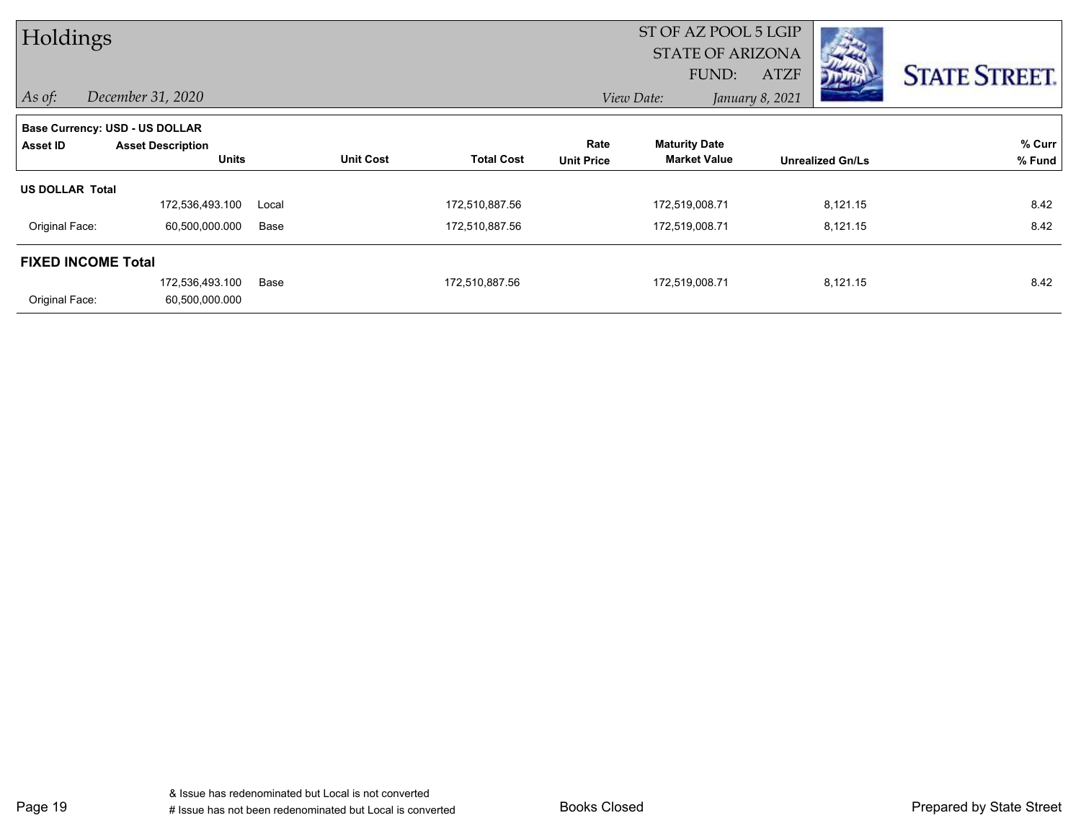| Holdings                       |                          |       |                  |                   |                   | ST OF AZ POOL 5 LGIP    |                 |                         |                      |
|--------------------------------|--------------------------|-------|------------------|-------------------|-------------------|-------------------------|-----------------|-------------------------|----------------------|
|                                |                          |       |                  |                   |                   | <b>STATE OF ARIZONA</b> |                 |                         |                      |
|                                |                          |       |                  |                   |                   | FUND:                   | <b>ATZF</b>     |                         | <b>STATE STREET.</b> |
| $\vert$ As of:                 | December 31, 2020        |       |                  |                   |                   | View Date:              | January 8, 2021 |                         |                      |
| Base Currency: USD - US DOLLAR |                          |       |                  |                   |                   |                         |                 |                         |                      |
| Asset ID                       | <b>Asset Description</b> |       |                  |                   | Rate              | <b>Maturity Date</b>    |                 |                         | % Curr               |
|                                | <b>Units</b>             |       | <b>Unit Cost</b> | <b>Total Cost</b> | <b>Unit Price</b> | <b>Market Value</b>     |                 | <b>Unrealized Gn/Ls</b> | % Fund               |
| <b>US DOLLAR Total</b>         |                          |       |                  |                   |                   |                         |                 |                         |                      |
|                                | 172,536,493.100          | Local |                  | 172,510,887.56    |                   | 172,519,008.71          |                 | 8,121.15                | 8.42                 |
| Original Face:                 | 60,500,000.000           | Base  |                  | 172,510,887.56    |                   | 172,519,008.71          |                 | 8,121.15                | 8.42                 |
| <b>FIXED INCOME Total</b>      |                          |       |                  |                   |                   |                         |                 |                         |                      |
|                                | 172,536,493.100          | Base  |                  | 172,510,887.56    |                   | 172,519,008.71          |                 | 8,121.15                | 8.42                 |
| Original Face:                 | 60,500,000.000           |       |                  |                   |                   |                         |                 |                         |                      |

Page 19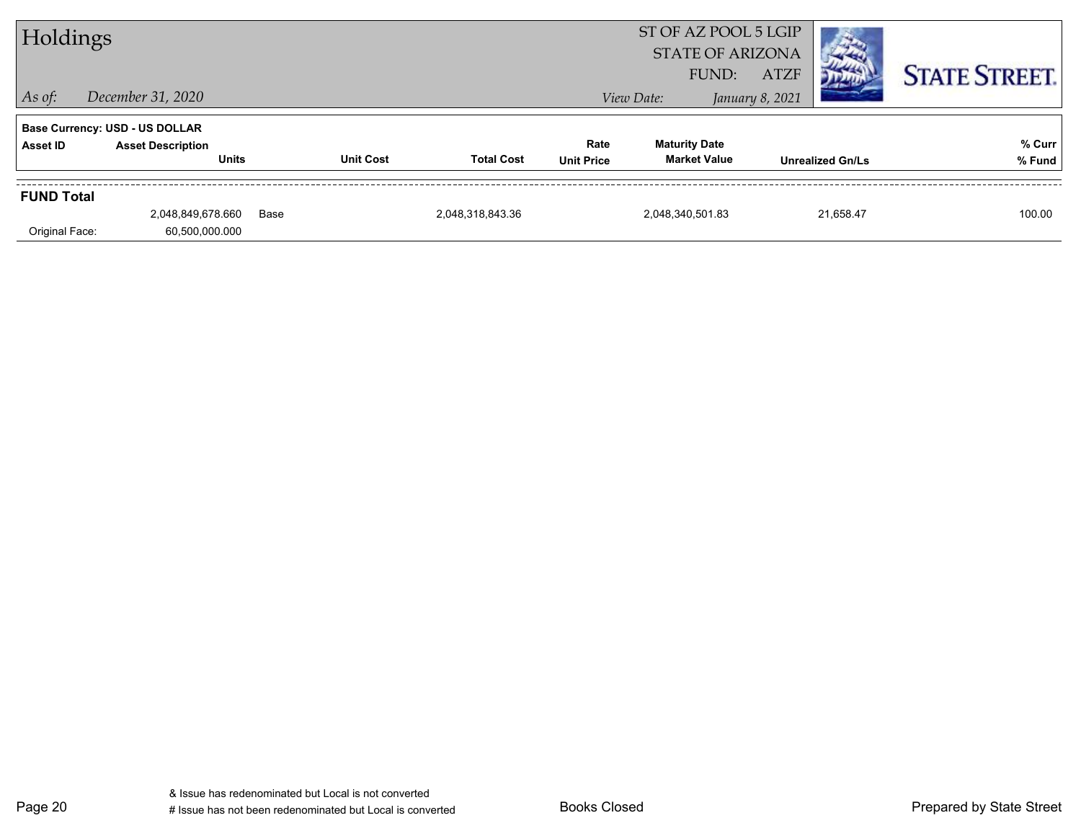| Holdings          |                                          |      |                  |                   |                           | ST OF AZ POOL 5 LGIP<br><b>STATE OF ARIZONA</b><br>FUND: | <b>ATZF</b>     |                         | <b>STATE STREET.</b> |
|-------------------|------------------------------------------|------|------------------|-------------------|---------------------------|----------------------------------------------------------|-----------------|-------------------------|----------------------|
| $\vert$ As of:    | December 31, 2020                        |      |                  |                   |                           | View Date:                                               | January 8, 2021 |                         |                      |
|                   | <b>Base Currency: USD - US DOLLAR</b>    |      |                  |                   |                           |                                                          |                 |                         |                      |
| Asset ID          | <b>Asset Description</b><br><b>Units</b> |      | <b>Unit Cost</b> | <b>Total Cost</b> | Rate<br><b>Unit Price</b> | <b>Maturity Date</b><br><b>Market Value</b>              |                 | <b>Unrealized Gn/Ls</b> | % Curr<br>% Fund     |
| <b>FUND Total</b> |                                          |      |                  |                   |                           |                                                          |                 |                         |                      |
| Original Face:    | 2,048,849,678.660<br>60,500,000.000      | Base |                  | 2,048,318,843.36  |                           | 2,048,340,501.83                                         |                 | 21.658.47               | 100.00               |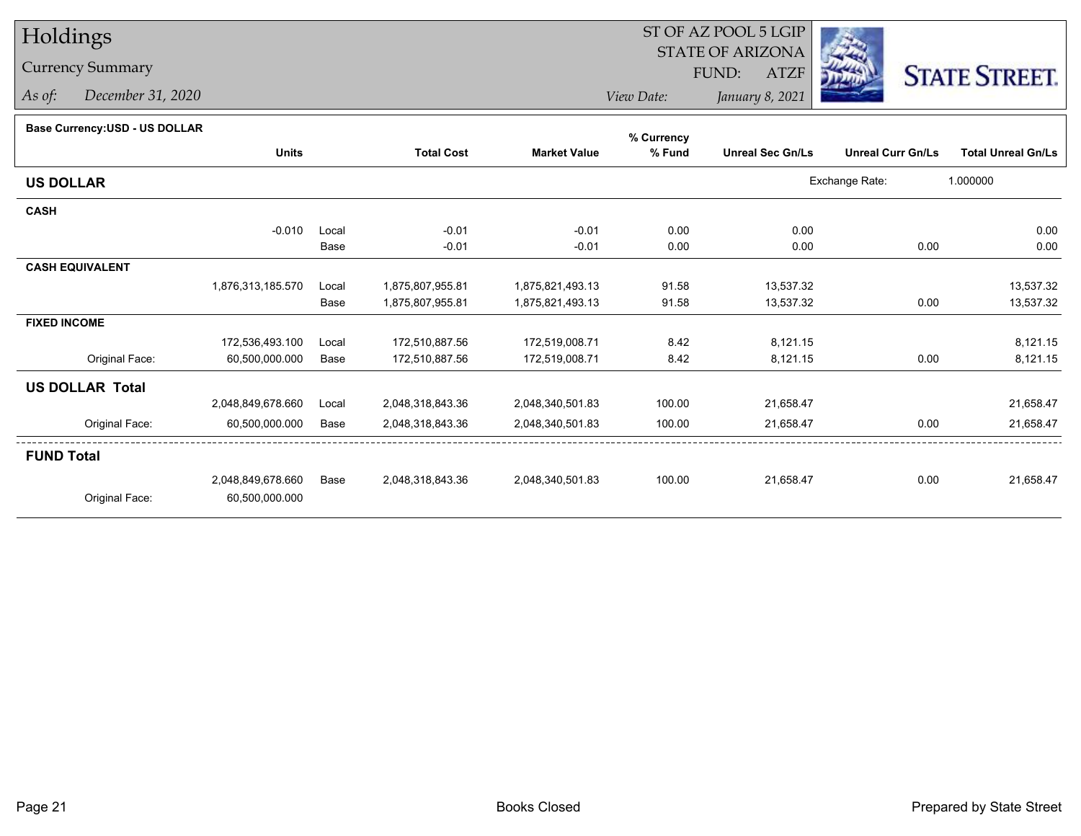## Holdings

## Currency Summary

*As of: December 31, 2020*

## ST OF AZ POOL 5 LGIP STATE OF ARIZONAATZF FUND:



*View Date:January 8, 2021*

## **Base Currency:USD - US DOLLAR**

|                        |                   |       |                   |                     | % Currency |                         |                          |                           |
|------------------------|-------------------|-------|-------------------|---------------------|------------|-------------------------|--------------------------|---------------------------|
|                        | <b>Units</b>      |       | <b>Total Cost</b> | <b>Market Value</b> | % Fund     | <b>Unreal Sec Gn/Ls</b> | <b>Unreal Curr Gn/Ls</b> | <b>Total Unreal Gn/Ls</b> |
| <b>US DOLLAR</b>       |                   |       |                   |                     |            |                         | Exchange Rate:           | 1.000000                  |
| <b>CASH</b>            |                   |       |                   |                     |            |                         |                          |                           |
|                        | $-0.010$          | Local | $-0.01$           | $-0.01$             | 0.00       | 0.00                    |                          | 0.00                      |
|                        |                   | Base  | $-0.01$           | $-0.01$             | 0.00       | 0.00                    | 0.00                     | 0.00                      |
| <b>CASH EQUIVALENT</b> |                   |       |                   |                     |            |                         |                          |                           |
|                        | 1,876,313,185.570 | Local | 1,875,807,955.81  | 1,875,821,493.13    | 91.58      | 13,537.32               |                          | 13,537.32                 |
|                        |                   | Base  | 1,875,807,955.81  | 1,875,821,493.13    | 91.58      | 13,537.32               | 0.00                     | 13,537.32                 |
| <b>FIXED INCOME</b>    |                   |       |                   |                     |            |                         |                          |                           |
|                        | 172,536,493.100   | Local | 172,510,887.56    | 172,519,008.71      | 8.42       | 8,121.15                |                          | 8,121.15                  |
| Original Face:         | 60,500,000.000    | Base  | 172,510,887.56    | 172,519,008.71      | 8.42       | 8,121.15                | 0.00                     | 8,121.15                  |
| <b>US DOLLAR Total</b> |                   |       |                   |                     |            |                         |                          |                           |
|                        | 2,048,849,678.660 | Local | 2,048,318,843.36  | 2,048,340,501.83    | 100.00     | 21,658.47               |                          | 21,658.47                 |
| Original Face:         | 60,500,000.000    | Base  | 2,048,318,843.36  | 2,048,340,501.83    | 100.00     | 21,658.47               | 0.00                     | 21,658.47                 |
| <b>FUND Total</b>      |                   |       |                   |                     |            |                         |                          |                           |
|                        | 2,048,849,678.660 | Base  | 2,048,318,843.36  | 2,048,340,501.83    | 100.00     | 21,658.47               | 0.00                     | 21,658.47                 |
| Original Face:         | 60,500,000.000    |       |                   |                     |            |                         |                          |                           |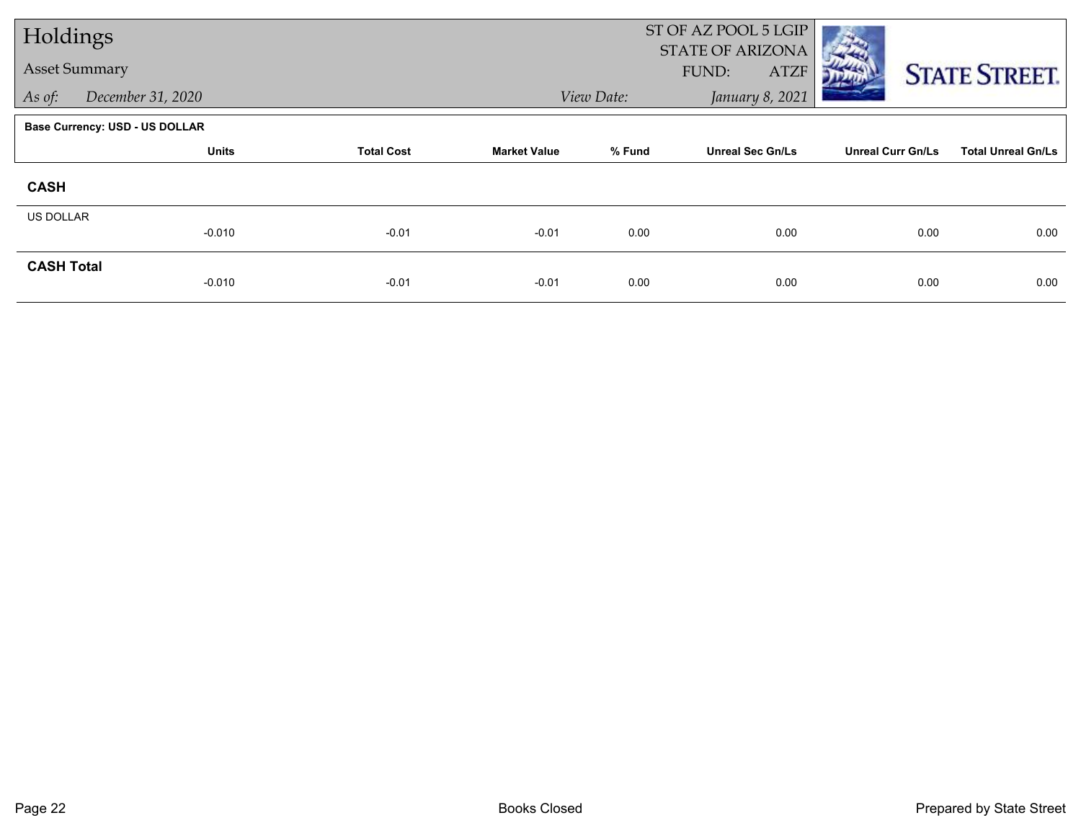| Holdings             |                                       |                   |                     |            | ST OF AZ POOL 5 LGIP<br>STATE OF ARIZONA |                          |                           |
|----------------------|---------------------------------------|-------------------|---------------------|------------|------------------------------------------|--------------------------|---------------------------|
| <b>Asset Summary</b> |                                       |                   |                     |            | FUND:<br><b>ATZF</b>                     |                          | <b>STATE STREET.</b>      |
| As of:               | December 31, 2020                     |                   |                     | View Date: | January 8, 2021                          |                          |                           |
|                      | <b>Base Currency: USD - US DOLLAR</b> |                   |                     |            |                                          |                          |                           |
|                      | <b>Units</b>                          | <b>Total Cost</b> | <b>Market Value</b> | % Fund     | <b>Unreal Sec Gn/Ls</b>                  | <b>Unreal Curr Gn/Ls</b> | <b>Total Unreal Gn/Ls</b> |
| <b>CASH</b>          |                                       |                   |                     |            |                                          |                          |                           |
| <b>US DOLLAR</b>     | $-0.010$                              | $-0.01$           | $-0.01$             | 0.00       | 0.00                                     | 0.00                     | 0.00                      |
| <b>CASH Total</b>    | $-0.010$                              | $-0.01$           | $-0.01$             | 0.00       | 0.00                                     | 0.00                     | 0.00                      |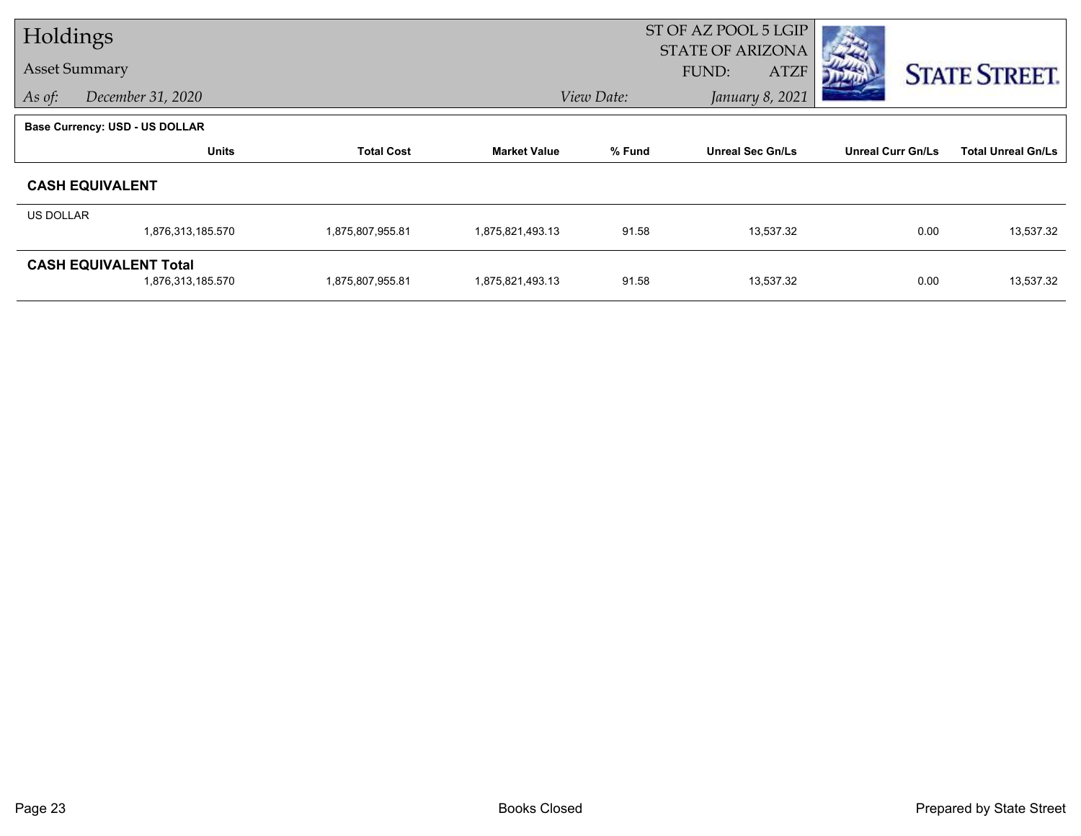| Holdings         |                                                   |                   |                     | ST OF AZ POOL 5 LGIP |                                                        |                          |                           |
|------------------|---------------------------------------------------|-------------------|---------------------|----------------------|--------------------------------------------------------|--------------------------|---------------------------|
|                  | <b>Asset Summary</b>                              |                   |                     |                      | <b>STATE OF ARIZONA</b><br><b>FUND:</b><br><b>ATZF</b> |                          | <b>STATE STREET.</b>      |
| As of:           | December 31, 2020                                 |                   |                     | View Date:           | January 8, 2021                                        |                          |                           |
|                  | <b>Base Currency: USD - US DOLLAR</b>             |                   |                     |                      |                                                        |                          |                           |
|                  | <b>Units</b>                                      | <b>Total Cost</b> | <b>Market Value</b> | % Fund               | <b>Unreal Sec Gn/Ls</b>                                | <b>Unreal Curr Gn/Ls</b> | <b>Total Unreal Gn/Ls</b> |
|                  | <b>CASH EQUIVALENT</b>                            |                   |                     |                      |                                                        |                          |                           |
| <b>US DOLLAR</b> |                                                   |                   |                     |                      |                                                        |                          |                           |
|                  | 1,876,313,185.570                                 | 1,875,807,955.81  | 1,875,821,493.13    | 91.58                | 13,537.32                                              | 0.00                     | 13,537.32                 |
|                  | <b>CASH EQUIVALENT Total</b><br>1,876,313,185.570 | 1,875,807,955.81  | 1,875,821,493.13    | 91.58                | 13,537.32                                              | 0.00                     | 13,537.32                 |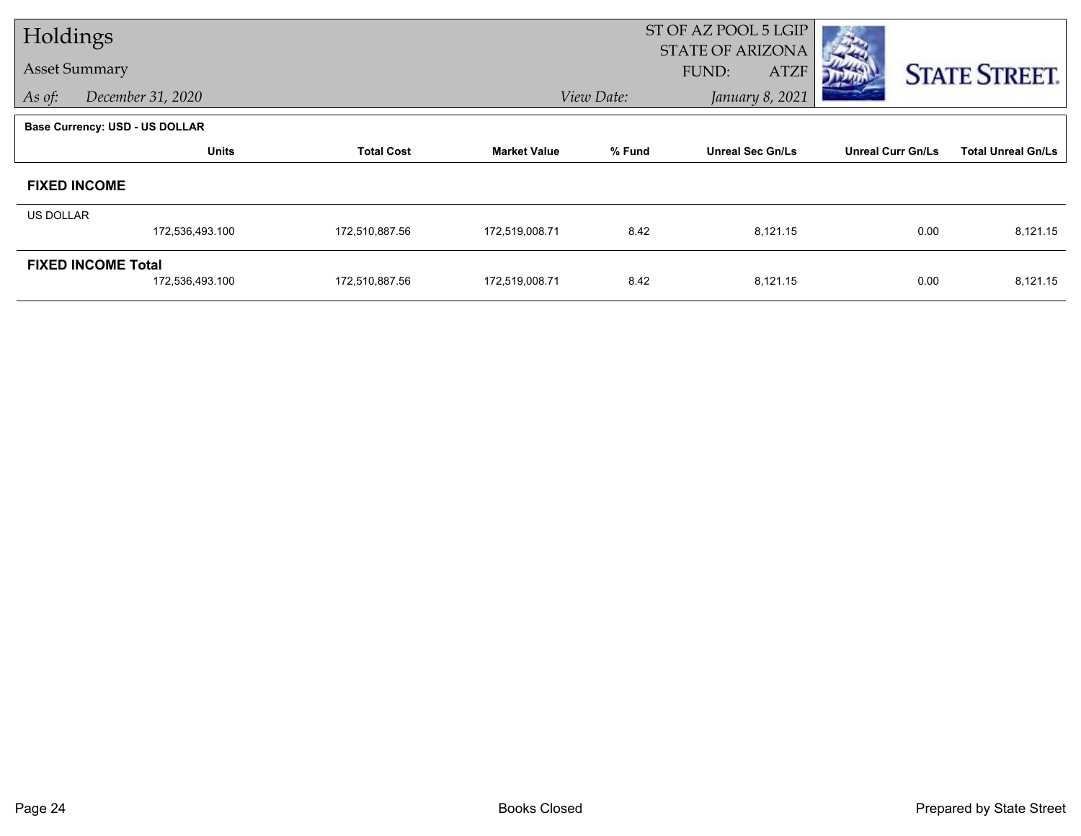| Holdings         |                                              |                   |                     | ST OF AZ POOL 5 LGIP |                                                 |                          |                           |
|------------------|----------------------------------------------|-------------------|---------------------|----------------------|-------------------------------------------------|--------------------------|---------------------------|
|                  | <b>Asset Summary</b>                         |                   |                     |                      | <b>STATE OF ARIZONA</b><br>FUND:<br><b>ATZF</b> |                          | <b>STATE STREET.</b>      |
| As of:           | December 31, 2020                            |                   |                     | View Date:           | January 8, 2021                                 |                          |                           |
|                  | <b>Base Currency: USD - US DOLLAR</b>        |                   |                     |                      |                                                 |                          |                           |
|                  | <b>Units</b>                                 | <b>Total Cost</b> | <b>Market Value</b> | % Fund               | <b>Unreal Sec Gn/Ls</b>                         | <b>Unreal Curr Gn/Ls</b> | <b>Total Unreal Gn/Ls</b> |
|                  | <b>FIXED INCOME</b>                          |                   |                     |                      |                                                 |                          |                           |
| <b>US DOLLAR</b> |                                              |                   |                     |                      |                                                 |                          |                           |
|                  | 172,536,493.100                              | 172,510,887.56    | 172,519,008.71      | 8.42                 | 8,121.15                                        | 0.00                     | 8,121.15                  |
|                  | <b>FIXED INCOME Total</b><br>172,536,493.100 | 172,510,887.56    | 172,519,008.71      | 8.42                 | 8,121.15                                        | 0.00                     | 8,121.15                  |
|                  |                                              |                   |                     |                      |                                                 |                          |                           |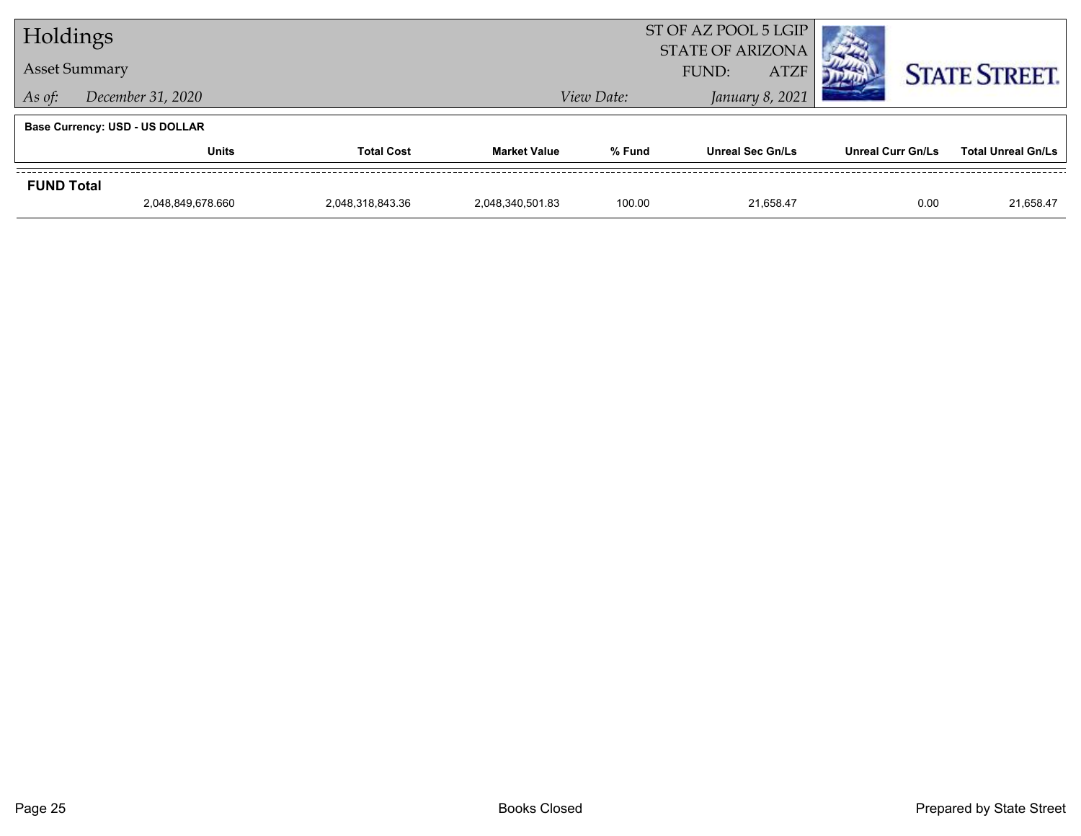| Holdings             |                                       |                      | ST OF AZ POOL 5 LGIP<br><b>STATE OF ARIZONA</b> |                               |                         |                          |                           |
|----------------------|---------------------------------------|----------------------|-------------------------------------------------|-------------------------------|-------------------------|--------------------------|---------------------------|
| <b>Asset Summary</b> |                                       | FUND:<br><b>ATZF</b> |                                                 |                               |                         | <b>STATE STREET.</b>     |                           |
| As of:               | December 31, 2020                     |                      |                                                 | January 8, 2021<br>View Date: |                         |                          |                           |
|                      | <b>Base Currency: USD - US DOLLAR</b> |                      |                                                 |                               |                         |                          |                           |
|                      | <b>Units</b>                          | <b>Total Cost</b>    | <b>Market Value</b>                             | % Fund                        | <b>Unreal Sec Gn/Ls</b> | <b>Unreal Curr Gn/Ls</b> | <b>Total Unreal Gn/Ls</b> |
| <b>FUND Total</b>    |                                       |                      |                                                 |                               |                         |                          |                           |
|                      | 2.048.849.678.660                     | 2.048.318.843.36     | 2.048.340.501.83                                | 100.00                        | 21.658.47               | 0.00                     | 21,658.47                 |